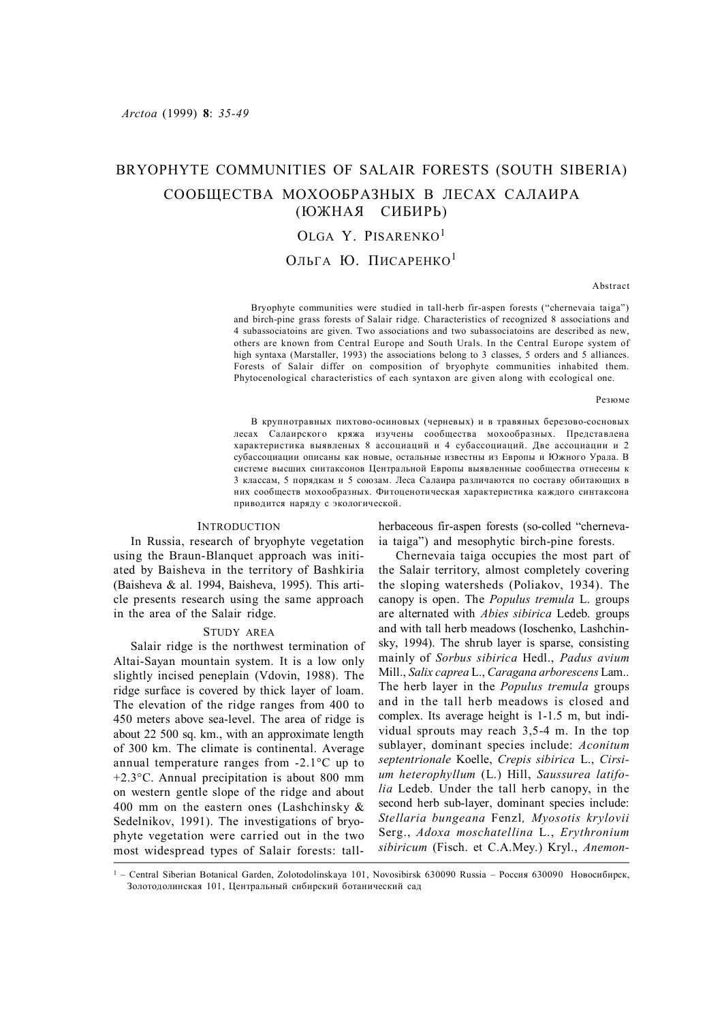# BRYOPHYTE COMMUNITIES OF SALAIR FORESTS (SOUTH SIBERIA) СООБЩЕСТВА МОХООБРАЗНЫХ В ЛЕСАХ САЛАИРА (ЮЖНАЯ СИБИРЬ)

## OLGA Y. PISARENKO<sup>1</sup>

ОЛЬГА Ю. ПИСАРЕНКО<sup>1</sup>

Abstract

Bryophyte communities were studied in tall-herb fir-aspen forests ("chernevaia taiga") and birch-pine grass forests of Salair ridge. Characteristics of recognized 8 associations and 4 subassociatoins are given. Two associations and two subassociatoins are described as new, others are known from Central Europe and South Urals. In the Central Europe system of high syntaxa (Marstaller, 1993) the associations belong to 3 classes, 5 orders and 5 alliances. Forests of Salair differ on composition of bryophyte communities inhabited them. Phytocenological characteristics of each syntaxon are given along with ecological one.

Резюме

В крупнотравных пихтово-осиновых (черневых) и в травяных березово-сосновых лесах Салаирского кряжа изучены сообщества мохообразных. Представлена характеристика выявленых 8 ассоциаций и 4 субассоциаций. Две ассоциации и 2 субассоциации описаны как новые, остальные известны из Европы и Южного Урала. В системе высших синтаксонов Центральной Европы выявленные сообщества отнесены к 3 классам, 5 порядкам и 5 союзам. Леса Салаира различаются по составу обитающих в них сообществ мохообразных. Фитоценотическая характеристика каждого синтаксона приводится наряду с экологической.

## **INTRODUCTION**

In Russia, research of bryophyte vegetation using the Braun-Blanquet approach was initiated by Baisheva in the territory of Bashkiria (Baisheva & al. 1994, Baisheva, 1995). This article presents research using the same approach in the area of the Salair ridge.

#### STUDY AREA

Salair ridge is the northwest termination of Altai-Sayan mountain system. It is a low only slightly incised peneplain (Vdovin, 1988). The ridge surface is covered by thick layer of loam. The elevation of the ridge ranges from 400 to 450 meters above sea-level. The area of ridge is about 22 500 sq. km., with an approximate length of 300 km. The climate is continental. Average annual temperature ranges from -2.1°С up to +2.3°C. Annual precipitation is about 800 mm on western gentle slope of the ridge and about 400 mm on the eastern ones (Lashchinsky  $\&$ Sedelnikov, 1991). The investigations of bryophyte vegetation were carried out in the two most widespread types of Salair forests: tallherbaceous fir-aspen forests (so-colled "chernevaia taiga") and mesophytic birch-pine forests.

Chernevaia taiga occupies the most part of the Salair territory, almost completely covering the sloping watersheds (Poliakov, 1934). The canopy is open. The *Populus tremula* L. groups are alternated with *Abies sibirica* Ledeb. groups and with tall herb meadows (Ioschenko, Lashchinsky, 1994). The shrub layer is sparse, consisting mainly of *Sorbus sibirica* Hedl., *Padus avium* Mill., *Salix caprea* L., *Caragana arborescens* Lam.. The herb layer in the *Populus tremula* groups and in the tall herb meadows is closed and complex. Its average height is 1-1.5 m, but individual sprouts may reach 3,5-4 m. In the top sublayer, dominant species include: *Aconitum septentrionale* Koelle, *Crepis sibirica* L., *Cirsium heterophyllum* (L.) Hill, *Saussurea latifolia* Ledeb. Under the tall herb canopy, in the second herb sub-layer, dominant species include: *Stellaria bungeana* Fenzl*, Myosotis krylovii* Serg., *Adoxa moschatellina* L., *Erythronium sibiricum* (Fisch. et C.A.Mey.) Kryl., *Anemon-*

1 – Central Siberian Botanical Garden, Zolotodolinskaya 101, Novosibirsk 630090 Russia – Россия 630090 Новосибирск, Золотодолинская 101, Центральный сибирский ботанический сад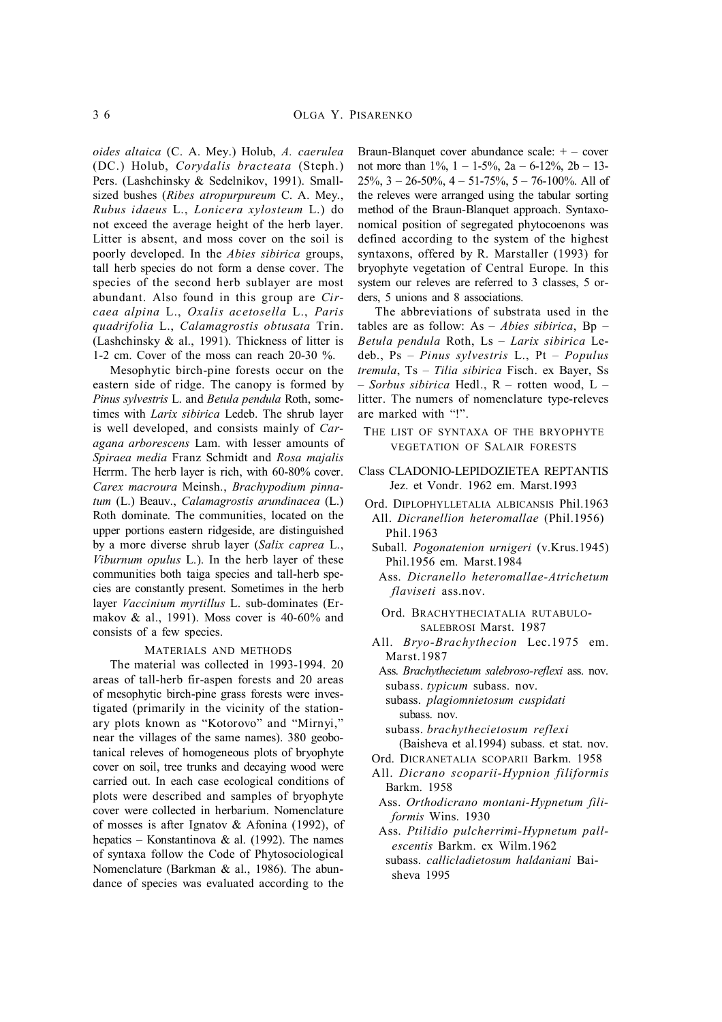*oides altaica* (C. A. Mey.) Holub, *A. caerulea* (DC.) Holub, *Corydalis bracteata* (Steph.) Pers. (Lashchinsky & Sedelnikov, 1991). Smallsized bushes (*Ribes atropurpureum* C. A. Mey., *Rubus idaeus* L., *Lonicera xylosteum* L.) do not exceed the average height of the herb layer. Litter is absent, and moss cover on the soil is poorly developed. In the *Abies sibirica* groups, tall herb species do not form a dense cover. The species of the second herb sublayer are most abundant. Also found in this group are *Circaea alpina* L., *Oxalis acetosella* L., *Paris quadrifolia* L., *Calamagrostis obtusata* Trin. (Lashchinsky  $\&$  al., 1991). Thickness of litter is 1-2 cm. Cover of the moss can reach 20-30 %.

Mesophytic birch-pine forests occur on the eastern side of ridge. The canopy is formed by *Pinus sylvestris* L. and *Betula pendula* Roth, sometimes with *Larix sibirica* Ledeb. The shrub layer is well developed, and consists mainly of *Caragana arborescens* Lam. with lesser amounts of *Spiraea media* Franz Schmidt and *Rosa majalis* Herrm. The herb layer is rich, with 60-80% cover. *Carex macroura* Meinsh., *Brachypodium pinnatum* (L.) Beauv., *Calamagrostis arundinacea* (L.) Roth dominate. The communities, located on the upper portions eastern ridgeside, are distinguished by a more diverse shrub layer (*Salix caprea* L., *Viburnum opulus* L.). In the herb layer of these communities both taiga species and tall-herb species are constantly present. Sometimes in the herb layer *Vaccinium myrtillus* L. sub-dominates (Ermakov & al., 1991). Moss cover is 40-60% and consists of a few species.

#### MATERIALS AND METHODS

The material was collected in 1993-1994. 20 areas of tall-herb fir-aspen forests and 20 areas of mesophytic birch-pine grass forests were investigated (primarily in the vicinity of the stationary plots known as "Kotorovo" and "Mirnyi," near the villages of the same names). 380 geobotanical releves of homogeneous plots of bryophyte cover on soil, tree trunks and decaying wood were carried out. In each case ecological conditions of plots were described and samples of bryophyte cover were collected in herbarium. Nomenclature of mosses is after Ignatov & Afonina (1992), of hepatics – Konstantinova & al. (1992). The names of syntaxa follow the Code of Phytosociological Nomenclature (Barkman & al., 1986). The abundance of species was evaluated according to the

Braun-Blanquet cover abundance scale: + – cover not more than  $1\%$ ,  $1 - 1.5\%$ ,  $2a - 6.12\%$ ,  $2b - 13$  $25\%$ ,  $3 - 26 - 50\%$ ,  $4 - 51 - 75\%$ ,  $5 - 76 - 100\%$ . All of the releves were arranged using the tabular sorting method of the Braun-Blanquet approach. Syntaxonomical position of segregated phytocoenons was defined according to the system of the highest syntaxons, offered by R. Marstaller (1993) for bryophyte vegetation of Central Europe. In this system our releves are referred to 3 classes, 5 orders, 5 unions and 8 associations.

The abbreviations of substrata used in the tables are as follow: As – *Abies sibirica*, Bp – *Betula pendula* Roth, Ls – *Larix sibirica* Ledeb., Ps – *Pinus sylvestris* L., Pt – *Populus tremula*, Ts – *Tilia sibirica* Fisch. ex Bayer, Ss – *Sorbus sibirica* Hedl., R – rotten wood, L – litter. The numers of nomenclature type-releves are marked with "!".

- THE LIST OF SYNTAXA OF THE BRYOPHYTE VEGETATION OF SALAIR FORESTS
- Class CLADONIO-LEPIDOZIETEA REPTANTIS Jez. et Vondr. 1962 em. Marst.1993
- Ord. DIPLOPHYLLETALIA ALBICANSIS Phil.1963
- All. *Dicranellion heteromallae* (Phil.1956) Phil.1963
- Suball. *Pogonatenion urnigeri* (v.Krus.1945) Phil.1956 em. Marst.1984
- Ass. *Dicranello heteromallae-Atrichetum flaviseti* ass.nov.
- Ord. BRACHYTHECIATALIA RUTABULO-SALEBROSI Marst. 1987
- All. *Bryo-Brachythecion* Lec.1975 em. Marst.1987
	- Ass. *Brachythecietum salebroso-reflexi* ass. nov. subass. *typicum* subass. nov.
	- subass. *plagiomnietosum cuspidati* subass. nov.
	- subass. *brachythecietosum reflexi* (Baisheva et al.1994) subass. et stat. nov.
- Ord. DICRANETALIA SCOPARII Barkm. 1958
- All. *Dicrano scoparii-Hypnion filiformis* Barkm. 1958
- Ass. *Orthodicrano montani-Hypnetum filiformis* Wins. 1930
- Ass. *Ptilidio pulcherrimi-Hypnetum pallescentis* Barkm. ex Wilm.1962 subass. *callicladietosum haldaniani* Bai-
- sheva 1995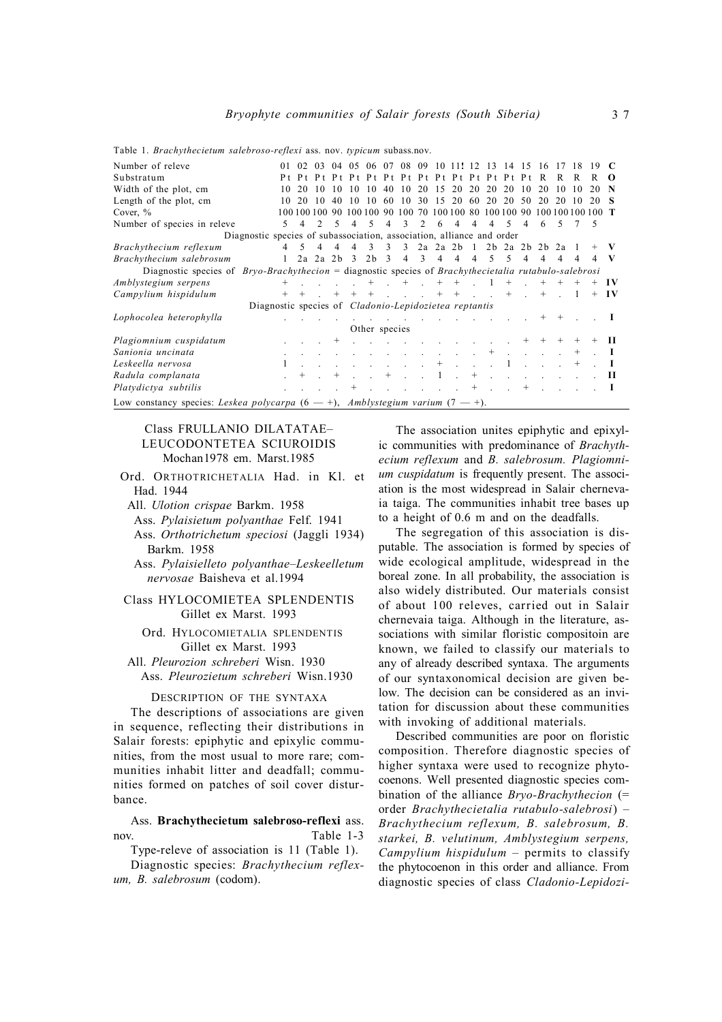| Number of releve                                                                                        | 01           | 02 <sub>1</sub> | 03                                         |                |    |                 |                         |             |                |                | 04 05 06 07 08 09 10 11! 12 13 14 15 16                                                                                                                                                                                        |                |                |                  |                |                                                                                             |          |        |        |          |
|---------------------------------------------------------------------------------------------------------|--------------|-----------------|--------------------------------------------|----------------|----|-----------------|-------------------------|-------------|----------------|----------------|--------------------------------------------------------------------------------------------------------------------------------------------------------------------------------------------------------------------------------|----------------|----------------|------------------|----------------|---------------------------------------------------------------------------------------------|----------|--------|--------|----------|
| Substratum                                                                                              | P t          |                 |                                            |                |    |                 |                         |             |                |                |                                                                                                                                                                                                                                |                |                |                  |                |                                                                                             | R        | R      |        | $\Omega$ |
| Width of the plot, cm                                                                                   | 10           | 20              | 10                                         | 10             | 10 | 10              | 40                      | 10          |                |                | 20 15 20 20 20 20                                                                                                                                                                                                              |                |                |                  | 10             | 20                                                                                          | 10       | -10    | 20     | N        |
| Length of the plot, cm                                                                                  | 10           | 20              | 10                                         | 40             | 10 | 10              | -60                     | 10          |                | 30 15          |                                                                                                                                                                                                                                |                | 20 60 20       | 20 50            |                | 20                                                                                          | 20       | -10    | 20     | -8       |
| Cover, $%$                                                                                              |              |                 | 100 100 100                                | -90            |    | 100 100         | 90.                     | 100         | 70             |                | 100 100 80 100 100 90                                                                                                                                                                                                          |                |                |                  |                | 100 100 100 100 T                                                                           |          |        |        |          |
|                                                                                                         |              |                 |                                            |                |    |                 |                         |             |                |                |                                                                                                                                                                                                                                |                |                |                  |                |                                                                                             |          |        |        |          |
| Number of species in releve                                                                             | .5           | $\overline{4}$  | $\mathfrak{D}$                             | -5             | 4  | 5               | $\overline{4}$          | 3           | $\mathfrak{D}$ | 6              | $\overline{4}$                                                                                                                                                                                                                 | $\overline{4}$ | $\overline{4}$ | $\sim$           | $\overline{4}$ | -6                                                                                          | 5        |        | - 5    |          |
| Diagnostic species of subassociation, association, alliance and order                                   |              |                 |                                            |                |    |                 |                         |             |                |                |                                                                                                                                                                                                                                |                |                |                  |                |                                                                                             |          |        |        |          |
| Brachythecium reflexum                                                                                  |              | $4 \quad 5$     | $\overline{4}$                             | $\overline{4}$ | 4  | $\overline{3}$  | $\overline{\mathbf{3}}$ | 3           |                |                | $2a$ $2a$ $2b$ $1$                                                                                                                                                                                                             |                |                | 2b 2a 2b 2b 2a 1 |                |                                                                                             |          |        |        | v        |
| Brachythecium salebrosum                                                                                | $\mathbf{1}$ |                 | $2a$ $2a$ $2b$ $3$                         |                |    | 2b <sub>3</sub> |                         | $4 \quad 3$ |                | $\overline{4}$ | $\overline{4}$                                                                                                                                                                                                                 | 4              | .5             | $\sim$           | 4              | 4                                                                                           | 4        | 4      | 4      | V        |
| Diagnostic species of $Bryo-Brachythecion =$ diagnostic species of Brachythecietalia rutabulo-salebrosi |              |                 |                                            |                |    |                 |                         |             |                |                |                                                                                                                                                                                                                                |                |                |                  |                |                                                                                             |          |        |        |          |
| Amblystegium serpens                                                                                    | $^{+}$       |                 | $\ldots$ $\ldots$ $+$ $+$ $+$ $+$ $+$ $ 1$ |                |    |                 |                         |             |                |                |                                                                                                                                                                                                                                |                |                |                  | $+$ $\sim$     | $^{+}$                                                                                      |          |        | $^{+}$ | - I V    |
| Campylium hispidulum                                                                                    | $^{+}$       | $+$             |                                            |                |    |                 |                         |             |                |                | $+$ $+$ $+$ $   +$ $+$ $   +$ $-$                                                                                                                                                                                              |                |                |                  |                | $+$                                                                                         | $\sim$ 1 |        | $+$    | - I V    |
| Diagnostic species of <i>Cladonio-Lepidozietea reptantis</i>                                            |              |                 |                                            |                |    |                 |                         |             |                |                |                                                                                                                                                                                                                                |                |                |                  |                |                                                                                             |          |        |        |          |
| Lophocolea heterophylla                                                                                 |              |                 |                                            |                |    |                 |                         |             |                |                | the contract of the contract of the contract of the                                                                                                                                                                            |                |                |                  |                |                                                                                             | $+$      |        |        |          |
|                                                                                                         |              |                 |                                            |                |    | Other species   |                         |             |                |                |                                                                                                                                                                                                                                |                |                |                  |                |                                                                                             |          |        |        |          |
| Plagiomnium cuspidatum                                                                                  |              |                 |                                            | $^{+}$         |    |                 |                         |             |                |                | $\mathbf{r} = \mathbf{r} \cdot \mathbf{r}$ , and $\mathbf{r} = \mathbf{r} \cdot \mathbf{r}$ , and $\mathbf{r} = \mathbf{r} \cdot \mathbf{r}$                                                                                   |                |                |                  | $+$            | $^{+}$                                                                                      |          |        |        | н        |
| Sanionia uncinata                                                                                       |              |                 |                                            |                |    |                 |                         |             |                |                | and the contract of the contract of the contract of the contract of the contract of the contract of the contract of the contract of the contract of the contract of the contract of the contract of the contract of the contra |                | $^{+}$         |                  |                |                                                                                             |          | $^{+}$ |        |          |
|                                                                                                         |              |                 |                                            |                |    |                 |                         |             |                |                |                                                                                                                                                                                                                                |                |                |                  |                |                                                                                             |          |        |        |          |
| Leskeella nervosa                                                                                       | 1            |                 |                                            |                |    |                 |                         |             |                | $+$            | $\sim$                                                                                                                                                                                                                         |                |                |                  |                | and the state of the state of                                                               |          | $^{+}$ |        | - 1      |
| Radula complanata                                                                                       |              |                 |                                            | $^{+}$         |    |                 | $+$ .                   |             |                | $\mathbf{1}$   | $\mathcal{L}^{\text{max}}$                                                                                                                                                                                                     | $^{+}$         |                |                  |                | $\mathbf{r} = \mathbf{r} \cdot \mathbf{r}$ , and $\mathbf{r} = \mathbf{r} \cdot \mathbf{r}$ |          |        |        | П        |
| Platydictya subtilis                                                                                    |              |                 |                                            |                |    |                 |                         |             |                |                |                                                                                                                                                                                                                                | $^{+}$         | $\sim$         |                  | $^{+}$         |                                                                                             |          |        |        | - 1      |
| Low constancy species: Leskea polycarpa $(6 - 1)$ , Amblystegium varium $(7 - 1)$ .                     |              |                 |                                            |                |    |                 |                         |             |                |                |                                                                                                                                                                                                                                |                |                |                  |                |                                                                                             |          |        |        |          |

Table 1. *Brachythecietum salebroso-reflexi* ass. nov. *typicum* subass.nov.

## Class FRULLANIO DILATATAE– LEUCODONTETEA SCIUROIDIS Mochan1978 em. Marst.1985

Ord. ORTHOTRICHETALIA Had. in Kl. et Had. 1944

All. *Ulotion crispae* Barkm. 1958

Ass. *Pylaisietum polyanthae* Felf. 1941

Ass. *Orthotrichetum speciosi* (Jaggli 1934) Barkm. 1958

Ass. *Pylaisielleto polyanthae–Leskeelletum nervosae* Baisheva et al.1994

## Class HYLOCOMIETEA SPLENDENTIS Gillet ex Marst. 1993

Ord. HYLOCOMIETALIA SPLENDENTIS Gillet ex Marst. 1993

All. *Pleurozion schreberi* Wisn. 1930 Ass. *Pleurozietum schreberi* Wisn.1930

DESCRIPTION OF THE SYNTAXA

The descriptions of associations are given in sequence, reflecting their distributions in Salair forests: epiphytic and epixylic communities, from the most usual to more rare; communities inhabit litter and deadfall; communities formed on patches of soil cover disturbance.

Ass. **Brachythecietum salebroso-reflexi** ass. nov. Table 1-3

Type-releve of association is 11 (Table 1). Diagnostic species: *Brachythecium reflex-*

*um, B. salebrosum* (codom).

The association unites epiphytic and epixylic communities with predominance of *Brachythecium reflexum* and *B. salebrosum. Plagiomnium cuspidatum* is frequently present. The association is the most widespread in Salair chernevaia taiga. The communities inhabit tree bases up to a height of 0.6 m and on the deadfalls.

The segregation of this association is disputable. The association is formed by species of wide ecological amplitude, widespread in the boreal zone. In all probability, the association is also widely distributed. Our materials consist of about 100 releves, carried out in Salair chernevaia taiga. Although in the literature, associations with similar floristic compositoin are known, we failed to classify our materials to any of already described syntaxa. The arguments of our syntaxonomical decision are given below. The decision can be considered as an invitation for discussion about these communities with invoking of additional materials.

Described communities are poor on floristic composition. Therefore diagnostic species of higher syntaxa were used to recognize phytocoenons. Well presented diagnostic species combination of the alliance *Bryo-Brachythecion* (= order *Brachythecietalia rutabulo-salebrosi*) – *Brachythecium reflexum, B. salebrosum, B. starkei, B. velutinum, Amblystegium serpens, Campylium hispidulum* – permits to classify the phytocoenon in this order and alliance. From diagnostic species of class *Cladonio-Lepidozi-*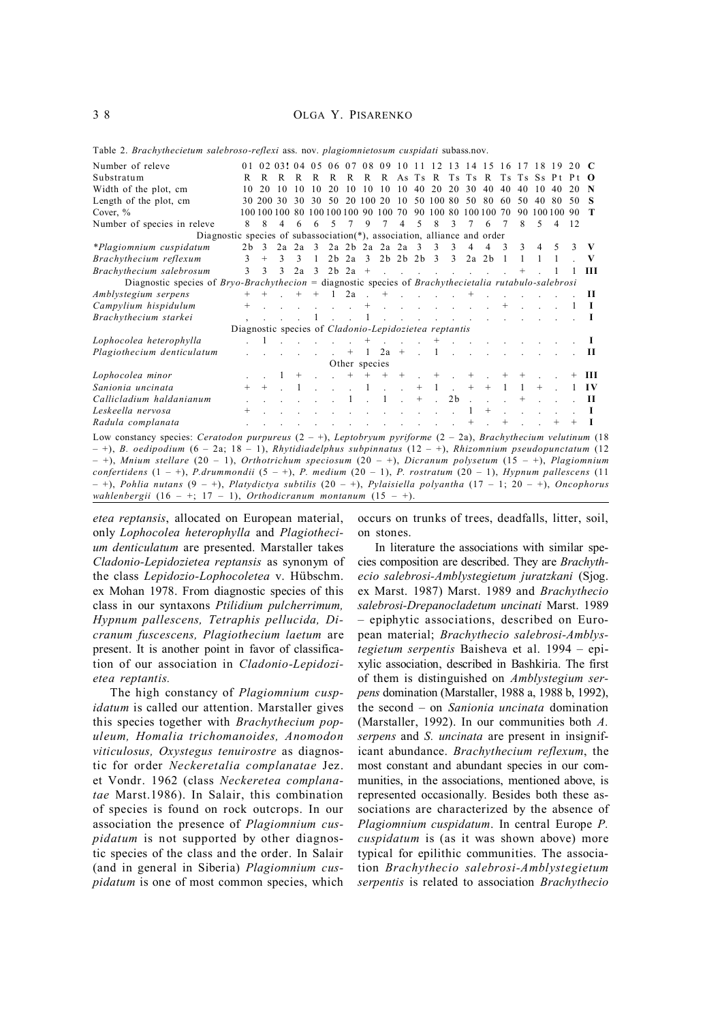3 8 OLGA Y. PISARENKO

Number of releve 0 1 0 2 0 3! 0 4 0 5 0 6 0 7 0 8 0 9 10 11 12 13 14 15 16 17 18 19 20 C<br>
R R R R R R R R R R R Ts Ts R Ts Ts Ss Pt Pt O R R R R R R R R As Ts R Ts Ts R Ts Ts Ss Pt Pt O Width of the plot, cm 10 20 10 10 10 20 10 10 10 10 40 20 20 30 40 40 40 10 40 20 **N** Length of the plot, cm 30 200 30 30 30 50 20 100 20 10 50 100 80 50 80 60 50 40 80 50 **S** Cover, % 100 100 100 80 100 100 100 90 100 70 90 100 80 100 100 70 90 100 100 90 **T** Number of species in releve 8 8 4 6 6 5 7 9 7 4 5 8 3 7 6 7 8 5 4 12 Diagnostic species of subassociation(\*), association, alliance and order *\*Plagiomnium cuspidatum* 2b 3 2a 2a 3 2a 2b 2a 2a 2a 3 3 3 4 4 3 3 4 5 3 **V** *Brachythecium reflexum* 3 + 3 3 1 2b 2a 3 2b 2b 2b 3 3 2a 2b 1 1 1 1 . **V** *Brachythecium salebrosum* 3 3 3 2a 3 2b 2a + . . . . . . . . + . 1 1 **III** Diagnostic species of *Bryo-Brachythecion* = diagnostic species of *Brachythecietalia rutabulo-salebrosi Amblystegium serpens* + + . + + 1 2a . + . . . . + . . . . . . **II** *Campylium hispidulum* + . . . . . . + . . . . . . . + . . . 1 **I Brachythecium starkei** , . . . 1 . . . . . . . . . . . . . . **I** Diagnostic species of *Cladonio-Lepidozietea reptantis Lophocolea heterophylla* . 1 . . . . . + . . . + . . . . . . . . **I** *Plagiothecium denticulatum* . . . . . . + 1 2a + . 1 . . . . . . . . **II** Other species<br> $+$  + + + *Lophocolea minor* . . 1 + . . + + + + . + . + . + + . . + **III** *Sanionia uncinata* + + . 1 . . . 1 . . + 1 . + + 1 1 + . 1 **I V** *Callicladium haldanianum* . . . . . . 1 . 1 . + . 2b . . . + . . . **II** *Leskeella nervosa* + . . . . . . . . . . . . 1 + . . . . . **I** *Radula complanata* . . . . . . . . . . . . . + . + . . + + **I** Low constancy species: *Ceratodon purpureus* (2 – +), *Leptobryum pyriforme* (2 – 2a), *Brachythecium velutinum* (18 – +), *B. oedipodium* (6 – 2a; 18 – 1), *Rhytidiadelphus subpinnatus* (12 – +), *Rhizomnium pseudopunctatum* (12 – +), *Mnium stellare* (20 – 1), *Orthotrichum speciosum* (20 – +), *Dicranum polysetum* (15 – +), *Plagiomnium confertidens* (1 – +), *P.drummondii* (5 – +), *P. medium* (20 – 1), *P. rostratum* (20 – 1), *Hypnum pallescens* (11 – +), *Pohlia nutans* (9 – +), *Platydictya subtilis* (20 – +), *Pylaisiella polyantha* (17 – 1; 20 – +), *Oncophorus*

Table 2. *Brachythecietum salebroso-reflexi* ass. nov. *plagiomnietosum cuspidati* subass.nov.

*etea reptansis*, allocated on European material, only *Lophocolea heterophylla* and *Plagiothecium denticulatum* are presented. Marstaller takes *Cladonio-Lepidozietea reptansis* as synonym of the class *Lepidozio-Lophocoletea* v. Hübschm. ex Mohan 1978. From diagnostic species of this class in our syntaxons *Ptilidium pulcherrimum, Hypnum pallescens, Tetraphis pellucida, Dicranum fuscescens, Plagiothecium laetum* are present. It is another point in favor of classification of our association in *Cladonio-Lepidozietea reptantis.*

*wahlenbergii* (16 – +; 17 – 1), *Orthodicranum montanum* (15 – +).

The high constancy of *Plagiomnium cuspidatum* is called our attention. Marstaller gives this species together with *Brachythecium populeum, Homalia trichomanoides, Anomodon viticulosus, Oxystegus tenuirostre* as diagnostic for order *Neckeretalia complanatae* Jez. et Vondr. 1962 (class *Neckeretea complanatae* Marst.1986). In Salair, this combination of species is found on rock outcrops. In our association the presence of *Plagiomnium cuspidatum* is not supported by other diagnostic species of the class and the order. In Salair (and in general in Siberia) *Plagiomnium cuspidatum* is one of most common species, which occurs on trunks of trees, deadfalls, litter, soil, on stones.

In literature the associations with similar species composition are described. They are *Brachythecio salebrosi-Amblystegietum juratzkani* (Sjog. ex Marst. 1987) Marst. 1989 and *Brachythecio salebrosi-Drepanocladetum uncinati* Marst. 1989 – epiphytic associations, described on European material; *Brachythecio salebrosi-Amblystegietum serpentis* Baisheva et al. 1994 – epixylic association, described in Bashkiria. The first of them is distinguished on *Amblystegium serpens* domination (Marstaller, 1988 a, 1988 b, 1992), the second – on *Sanionia uncinata* domination (Marstaller, 1992). In our communities both *A. serpens* and *S. uncinata* are present in insignificant abundance. *Brachythecium reflexum*, the most constant and abundant species in our communities, in the associations, mentioned above, is represented occasionally. Besides both these associations are characterized by the absence of *Plagiomnium cuspidatum*. In central Europe *P. cuspidatum* is (as it was shown above) more typical for epilithic communities. The association *Brachythecio salebrosi-Amblystegietum serpentis* is related to association *Brachythecio*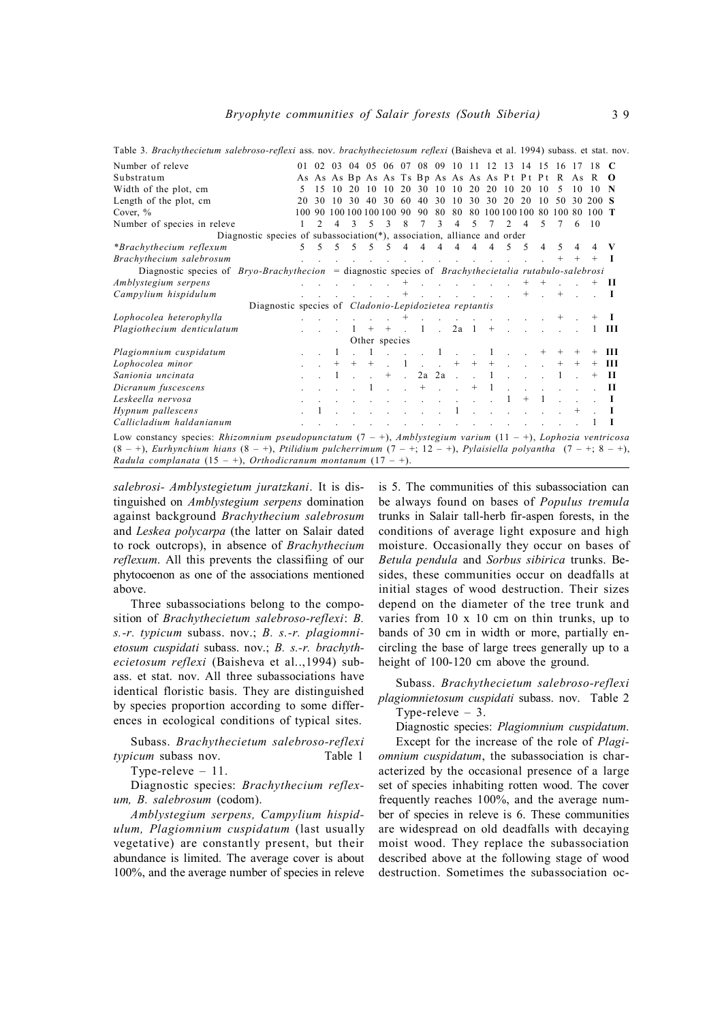| Table 3. Brachythecietum salebroso-reflexi ass. nov. brachythecietosum reflexi (Baisheva et al. 1994) subass. et stat. nov.        |    |                |                |                |        |                                                                                                                                              |                |                            |                                                                                                                  |                     |                |                |                |                                           |        |    |    |                                                         |      |
|------------------------------------------------------------------------------------------------------------------------------------|----|----------------|----------------|----------------|--------|----------------------------------------------------------------------------------------------------------------------------------------------|----------------|----------------------------|------------------------------------------------------------------------------------------------------------------|---------------------|----------------|----------------|----------------|-------------------------------------------|--------|----|----|---------------------------------------------------------|------|
| Number of releve                                                                                                                   |    |                |                |                |        |                                                                                                                                              |                |                            |                                                                                                                  |                     |                |                |                |                                           |        |    |    | 01 02 03 04 05 06 07 08 09 10 11 12 13 14 15 16 17 18 C |      |
| Substratum                                                                                                                         |    |                |                |                |        |                                                                                                                                              |                |                            |                                                                                                                  |                     |                |                |                |                                           |        |    |    | As As As Bp As As Ts Bp As As As As Pt Pt Pt R As R O   |      |
| Width of the plot, cm                                                                                                              |    |                |                |                |        |                                                                                                                                              |                |                            |                                                                                                                  |                     |                |                |                | 15 10 20 10 10 20 30 10 10 20 20 10 20 10 |        | -5 | 10 | $10$ N                                                  |      |
| Length of the plot, cm                                                                                                             | 20 | 30             |                |                |        |                                                                                                                                              |                |                            |                                                                                                                  |                     |                |                |                |                                           |        |    |    | 10 30 40 30 60 40 30 10 30 30 20 20 10 50 30 200 S      |      |
| Cover, $\%$                                                                                                                        |    |                |                |                |        | 100 90 100 100 100 100 90 90                                                                                                                 |                |                            | 80                                                                                                               |                     |                |                |                |                                           |        |    |    | 80 80 100 100 100 80 100 80 100 T                       |      |
| Number of species in releve                                                                                                        |    | $\mathfrak{D}$ | 4              | $\mathbf{3}$   | 5      | $\mathbf{3}$                                                                                                                                 | 8              | 7                          | 3                                                                                                                | $\overline{4}$      | 5              | 7              | $\mathfrak{D}$ | $\overline{4}$                            | $\sim$ |    | 6  | -10                                                     |      |
| Diagnostic species of subassociation(*), association, alliance and order                                                           |    |                |                |                |        |                                                                                                                                              |                |                            |                                                                                                                  |                     |                |                |                |                                           |        |    |    |                                                         |      |
| *Brachythecium reflexum                                                                                                            | .5 | 5 <sup>7</sup> | 5 <sup>5</sup> | 5 <sup>7</sup> | $\sim$ | $\sim$                                                                                                                                       | $\overline{4}$ |                            | $4$ $4$ $4$ $4$                                                                                                  |                     |                | $\overline{4}$ | 5 <sub>5</sub> |                                           | 4      |    |    |                                                         | v    |
| Brachythecium salebrosum                                                                                                           |    |                |                |                |        | and the contract of the contract of the contract of                                                                                          |                |                            |                                                                                                                  |                     |                |                |                |                                           |        |    |    |                                                         |      |
| Diagnostic species of $Bryo-Brachy the cion =$ diagnostic species of <i>Brachythecietalia rutabulo-salebrosi</i>                   |    |                |                |                |        |                                                                                                                                              |                |                            |                                                                                                                  |                     |                |                |                |                                           |        |    |    |                                                         |      |
| Amblystegium serpens                                                                                                               |    |                |                |                |        |                                                                                                                                              | $^{+}$         |                            | and the state of the state of the                                                                                |                     |                |                |                |                                           |        |    |    |                                                         | - 11 |
| Campylium hispidulum                                                                                                               |    |                |                |                |        | $\mathbf{r} = \mathbf{r} \cdot \mathbf{r}$ and $\mathbf{r} = \mathbf{r} \cdot \mathbf{r}$                                                    | $^{+}$         |                            | and the company of the company of the company of the company of the company of the company of the company of the |                     |                |                |                | $^{+}$                                    |        |    |    |                                                         | Т    |
| Diagnostic species of <i>Cladonio-Lepidozietea reptantis</i>                                                                       |    |                |                |                |        |                                                                                                                                              |                |                            |                                                                                                                  |                     |                |                |                |                                           |        |    |    |                                                         |      |
| Lophocolea heterophylla                                                                                                            |    |                |                |                |        |                                                                                                                                              | $^{+}$         |                            | and the state of the state of the state of the state of the state of the state of the state of the state of the  |                     |                |                |                |                                           |        |    |    |                                                         | L    |
| Plagiothecium denticulatum                                                                                                         |    |                |                |                | $+$    | $^{+}$                                                                                                                                       |                | $\overline{1}$             | $\mathcal{L}_{\mathrm{max}}$                                                                                     |                     | $2a \quad 1 +$ |                |                |                                           |        |    |    |                                                         | Ш    |
|                                                                                                                                    |    |                |                |                |        | Other species                                                                                                                                |                |                            |                                                                                                                  |                     |                |                |                |                                           |        |    |    |                                                         |      |
| Plagiomnium cuspidatum                                                                                                             |    |                |                |                |        | $\sim$ $\sim$                                                                                                                                |                |                            | $\mathbf{1}$                                                                                                     | $\mathcal{L}^{\pm}$ |                | 1              |                |                                           |        |    |    |                                                         | ш    |
| Lophocolea minor                                                                                                                   |    |                | $^{+}$         | $^{+}$         | $^{+}$ |                                                                                                                                              | -1             |                            | $\mathbf{L} = \mathbf{L}$                                                                                        | $^{+}$              | $+$            | $^{+}$         |                |                                           |        |    |    |                                                         | Ш    |
| Sanionia uncinata                                                                                                                  |    |                |                |                |        | $^{+}$                                                                                                                                       |                |                            | $2a$ $2a$                                                                                                        | $\sim$              |                | 1              |                |                                           |        |    |    |                                                         | - 11 |
| Dicranum fuscescens                                                                                                                |    |                |                |                |        | $1 \cdot \cdot \cdot$                                                                                                                        |                | $^{+}$                     |                                                                                                                  |                     | $+$            | $\overline{1}$ |                |                                           |        |    |    |                                                         | Н    |
| Leskeella nervosa                                                                                                                  |    |                |                |                |        | $\mathbf{r} = \mathbf{r} \cdot \mathbf{r}$ , and $\mathbf{r} = \mathbf{r} \cdot \mathbf{r}$ , and $\mathbf{r} = \mathbf{r} \cdot \mathbf{r}$ |                |                            |                                                                                                                  |                     |                |                | 1              | $+$                                       |        |    |    |                                                         | Т.   |
| Hypnum pallescens                                                                                                                  |    |                |                |                |        |                                                                                                                                              |                | and the state of the state |                                                                                                                  | $\mathbf{1}$        |                | $\sim$         |                |                                           |        |    |    |                                                         |      |
| Callicladium haldanianum                                                                                                           |    |                |                |                |        |                                                                                                                                              |                |                            |                                                                                                                  |                     |                |                |                |                                           |        |    |    |                                                         | л.   |
| Low constancy species: Rhizomnium pseudopunctatum $(7 - 1)$ , Amblystegium varium $(11 - 1)$ , Lophozia ventricosa                 |    |                |                |                |        |                                                                                                                                              |                |                            |                                                                                                                  |                     |                |                |                |                                           |        |    |    |                                                         |      |
| $(8 - 1)$ , Eurhynchium hians $(8 - 1)$ , Ptilidium pulcherrimum $(7 - 1)$ ; 12 - 1), Pylaisiella polyantha $(7 - 1)$ ; $8 - 1$ ), |    |                |                |                |        |                                                                                                                                              |                |                            |                                                                                                                  |                     |                |                |                |                                           |        |    |    |                                                         |      |
| Radula complanata $(15 - 1)$ , Orthodicranum montanum $(17 - 1)$ .                                                                 |    |                |                |                |        |                                                                                                                                              |                |                            |                                                                                                                  |                     |                |                |                |                                           |        |    |    |                                                         |      |

*salebrosi- Amblystegietum juratzkani*. It is distinguished on *Amblystegium serpens* domination against background *Brachythecium salebrosum* and *Leskea polycarpa* (the latter on Salair dated to rock outcrops), in absence of *Brachythecium reflexum*. All this prevents the classifiing of our phytocoenon as one of the associations mentioned above.

Three subassociations belong to the composition of *Brachythecietum salebroso-reflexi*: *B. s.-r. typicum* subass. nov.; *B. s.-r. plagiomnietosum cuspidati* subass. nov.; *B. s.-r. brachythecietosum reflexi* (Baisheva et al..,1994) subass. et stat. nov. All three subassociations have identical floristic basis. They are distinguished by species proportion according to some differences in ecological conditions of typical sites.

Subass. *Brachythecietum salebroso-reflexi typicum* subass nov. Table 1

Type-releve – 11.

Diagnostic species: *Brachythecium reflexum, B. salebrosum* (codom).

*Amblystegium serpens, Campylium hispidulum, Plagiomnium cuspidatum* (last usually vegetative) are constantly present, but their abundance is limited. The average cover is about 100%, and the average number of species in releve is 5. The communities of this subassociation can be always found on bases of *Populus tremula* trunks in Salair tall-herb fir-aspen forests, in the conditions of average light exposure and high moisture. Occasionally they occur on bases of *Betula pendula* and *Sorbus sibirica* trunks. Besides, these communities occur on deadfalls at initial stages of wood destruction. Their sizes depend on the diameter of the tree trunk and varies from 10 x 10 cm on thin trunks, up to bands of 30 cm in width or more, partially encircling the base of large trees generally up to a height of 100-120 cm above the ground.

Subass. *Brachythecietum salebroso-reflexi plagiomnietosum cuspidati* subass. nov. Table 2 Type-releve  $-3$ .

Diagnostic species: *Plagiomnium cuspidatum*. Except for the increase of the role of *Plagiomnium cuspidatum*, the subassociation is characterized by the occasional presence of a large set of species inhabiting rotten wood. The cover frequently reaches 100%, and the average number of species in releve is 6. These communities are widespread on old deadfalls with decaying moist wood. They replace the subassociation described above at the following stage of wood destruction. Sometimes the subassociation oc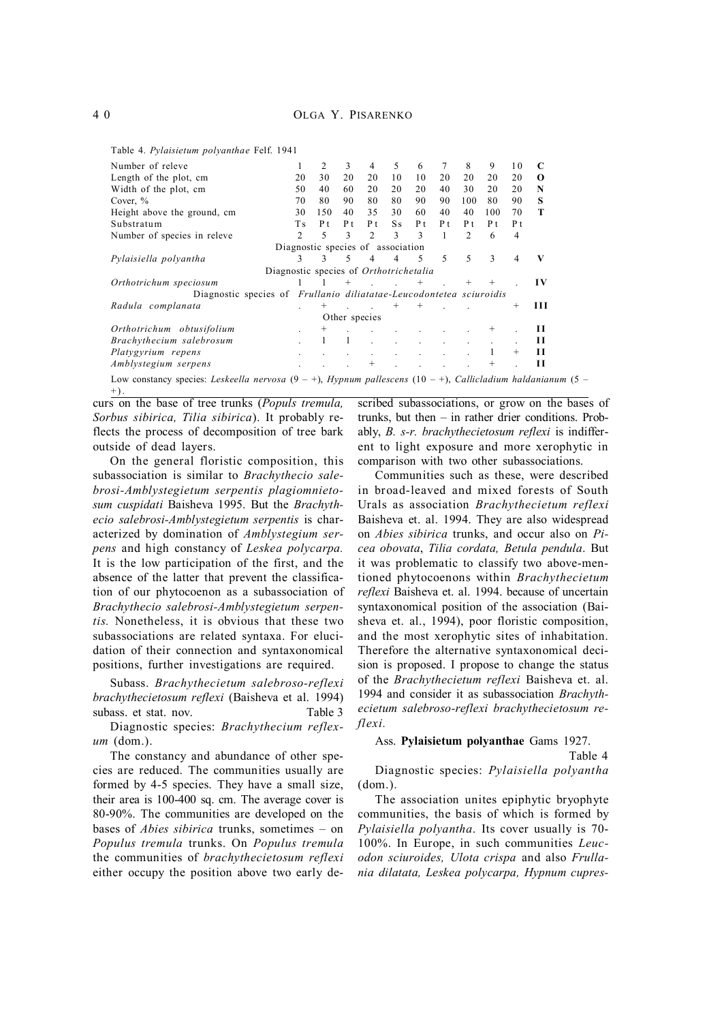Table 4. *Pylaisietum polyanthae* Felf. 1941

| Number of releve                                                                                                       |                | 2                                 | 3             | 4              | 5                 | 6      | 7   | 8              | 9   | 10             | C         |
|------------------------------------------------------------------------------------------------------------------------|----------------|-----------------------------------|---------------|----------------|-------------------|--------|-----|----------------|-----|----------------|-----------|
| Length of the plot, cm                                                                                                 | 20             | 30                                | 20            | 20             | 10                | 10     | 20  | 20             | 20  | 20             | $\Omega$  |
| Width of the plot, cm                                                                                                  | 50             | 40                                | 60            | 20             | 20                | 20     | 40  | 30             | 20  | 20             | N         |
| Cover, $\%$                                                                                                            | 70             | 80                                | 90            | 80             | 80                | 90     | 90  | 100            | 80  | 90             | S         |
| Height above the ground, cm                                                                                            | 30             | 150                               | 40            | 35             | 30                | 60     | 40  | 40             | 100 | 70             | т         |
| Substratum                                                                                                             | T s            | P t                               | P t           | P t            | S s               | P t    | P t | P t            | P t | P t            |           |
| Number of species in releve                                                                                            | $\mathfrak{D}$ | 5                                 | 3             | 2              | 3                 | 3      | 1   | $\mathfrak{D}$ | 6   | $\overline{4}$ |           |
|                                                                                                                        |                | Diagnostic species of association |               |                |                   |        |     |                |     |                |           |
| Pylaisiella polyantha                                                                                                  | $\mathcal{F}$  | $\mathbf{3}$                      | 5             | $\overline{4}$ | 4                 | .5     | 5   | 5              | 3   | $\overline{4}$ | V         |
| Diagnostic species of Orthotrichetalia                                                                                 |                |                                   |               |                |                   |        |     |                |     |                |           |
| Orthotrichum speciosum                                                                                                 |                |                                   | $^{+}$        |                | $\sim$ $\sim$ $+$ |        |     |                |     |                | $\bf{IV}$ |
| Diagnostic species of <i>Frullanio diliatatae-Leucodontetea sciuroidis</i>                                             |                |                                   |               |                |                   |        |     |                |     |                |           |
| Radula complanata                                                                                                      |                | $^{+}$                            |               |                | $^{+}$            | $^{+}$ |     |                |     | $^{+}$         | Ш         |
|                                                                                                                        |                |                                   | Other species |                |                   |        |     |                |     |                |           |
| Orthotrichum obtusifolium                                                                                              |                | $^{+}$                            |               |                |                   |        |     |                |     |                | Н         |
| Brachythecium salebrosum                                                                                               |                |                                   |               |                |                   |        |     |                |     |                | П         |
| Platygyrium repens                                                                                                     |                |                                   |               |                |                   |        |     |                |     | $^+$           | П         |
| Amblystegium serpens                                                                                                   |                |                                   |               |                |                   |        |     |                |     |                | Н         |
| Low constancy species: Leskeella nervosa $(9 - 1)$ , Hypnum pallescens $(10 - 1)$ , Callicladium haldanianum $(5 - 1)$ |                |                                   |               |                |                   |        |     |                |     |                |           |

curs on the base of tree trunks (*Populs tremula, Sorbus sibirica, Tilia sibirica*). It probably reflects the process of decomposition of tree bark outside of dead layers.  $+$  ).

On the general floristic composition, this subassociation is similar to *Brachythecio salebrosi-Amblystegietum serpentis plagiomnietosum cuspidati* Baisheva 1995. But the *Brachythecio salebrosi-Amblystegietum serpentis* is characterized by domination of *Amblystegium serpens* and high constancy of *Leskea polycarpa.* It is the low participation of the first, and the absence of the latter that prevent the classification of our phytocoenon as a subassociation of *Brachythecio salebrosi-Amblystegietum serpentis.* Nonetheless, it is obvious that these two subassociations are related syntaxa. For elucidation of their connection and syntaxonomical positions, further investigations are required.

Subass. *Brachythecietum salebroso-reflexi brachythecietosum reflexi* (Baisheva et al. 1994) subass. et stat. nov. Table 3

Diagnostic species: *Brachythecium reflexum* (dom.).

The constancy and abundance of other species are reduced. The communities usually are formed by 4-5 species. They have a small size, their area is 100-400 sq. cm. The average cover is 80-90%. The communities are developed on the bases of *Abies sibirica* trunks, sometimes – on *Populus tremula* trunks. On *Populus tremula* the communities of *brachythecietosum reflexi* either occupy the position above two early de-

scribed subassociations, or grow on the bases of trunks, but then – in rather drier conditions. Probably, *B. s-r. brachythecietosum reflexi* is indifferent to light exposure and more xerophytic in comparison with two other subassociations.

Communities such as these, were described in broad-leaved and mixed forests of South Urals as association *Brachythecietum reflexi* Baisheva et. al. 1994. They are also widespread on *Abies sibirica* trunks, and occur also on *Picea obovata*, *Tilia cordata, Betula pendula*. But it was problematic to classify two above-mentioned phytocoenons within *Brachythecietum reflexi* Baisheva et. al. 1994. because of uncertain syntaxonomical position of the association (Baisheva et. al., 1994), poor floristic composition, and the most xerophytic sites of inhabitation. Therefore the alternative syntaxonomical decision is proposed. I propose to change the status of the *Brachythecietum reflexi* Baisheva et. al. 1994 and consider it as subassociation *Brachythecietum salebroso-reflexi brachythecietosum reflexi.*

#### Ass. **Pylaisietum polyanthae** Gams 1927.

#### Table 4

Diagnostic species: *Pylaisiella polyantha* (dom.).

The association unites epiphytic bryophyte communities, the basis of which is formed by *Pylaisiella polyantha*. Its cover usually is 70- 100%. In Europe, in such communities *Leucodon sciuroides, Ulota crispa* and also *Frullania dilatata, Leskea polycarpa, Hypnum cupres-*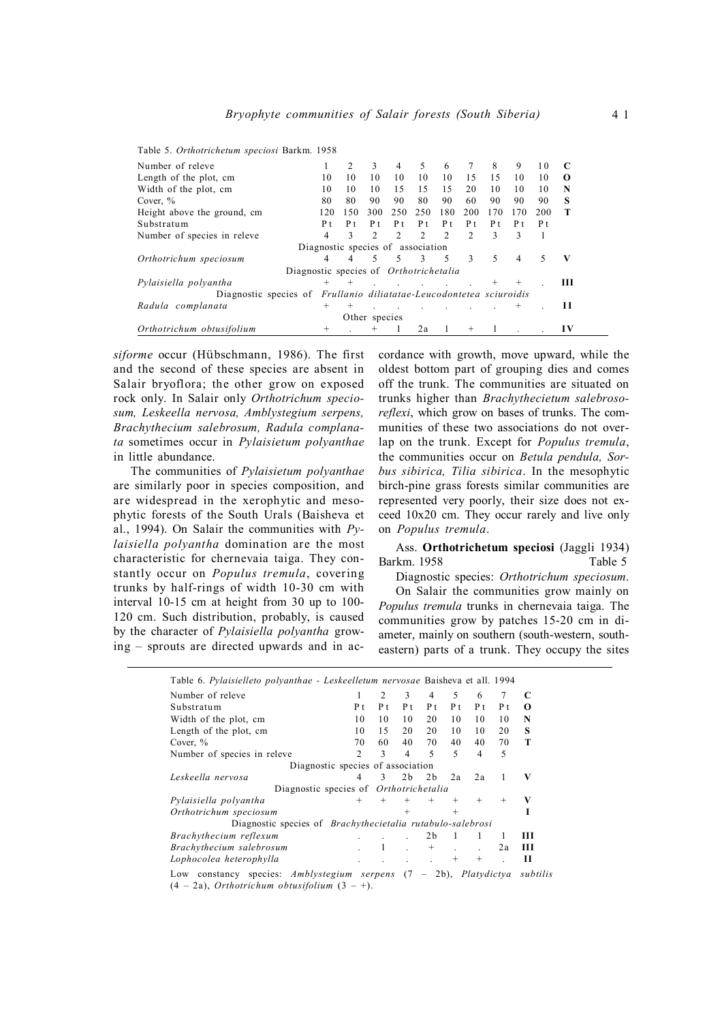| rapic 9. Ormonichemin speciosi Darkin. 1996                         |                                   |     |               |               |               |               |     |     |                |     |          |
|---------------------------------------------------------------------|-----------------------------------|-----|---------------|---------------|---------------|---------------|-----|-----|----------------|-----|----------|
| Number of releve                                                    |                                   |     | 3             | 4             | 5             | 6             |     | 8   | 9              | 10  |          |
| Length of the plot, cm                                              | 10                                | 10  | 10            | 10            | 10            | 10            | 1.5 | 15  | 10             | 10  | $\Omega$ |
| Width of the plot, cm                                               | 10                                | 10  | 10            | 15            | 15            | 15            | 20  | 10  | 10             | 10  | N        |
| Cover, $\%$                                                         | 80                                | 80  | 90            | 90            | 80            | 90            | 60  | 90  | 90             | 90  | s        |
| Height above the ground, cm                                         | 120                               | 150 | 300           | 250           | 250           | 180           | 200 | 170 | 170            | 200 |          |
| Substratum                                                          | P t                               | P t | P t           | P t           | P t           | P t           | P t | P t | P t            | P t |          |
| Number of species in releve                                         | 4                                 | 3   | C             | $\mathcal{D}$ | $\mathcal{D}$ | $\mathcal{D}$ | 2   | 3   | ٩              |     |          |
|                                                                     | Diagnostic species of association |     |               |               |               |               |     |     |                |     |          |
| Orthotrichum speciosum                                              | 4                                 |     | 5             | 5             | -3            | - 5           | 3   | 5   | $\overline{4}$ | 5   | V        |
| Diagnostic species of <i>Orthotrichetalia</i>                       |                                   |     |               |               |               |               |     |     |                |     |          |
| Pylaisiella polyantha                                               | $+$                               |     |               |               |               |               |     |     |                |     | ш        |
| Diagnostic species of Frullanio diliatatae-Leucodontetea sciuroidis |                                   |     |               |               |               |               |     |     |                |     |          |
| Radula complanata                                                   | $\pm$                             |     |               |               |               |               |     |     |                |     | Н        |
|                                                                     |                                   |     | Other species |               |               |               |     |     |                |     |          |
| Orthotrichum obtusifolium                                           |                                   |     |               |               | 2a            |               |     |     |                |     | IV       |

Table 5. *Orthotrichetum speciosi* Barkm. 1958

*siforme* occur (Hübschmann, 1986). The first and the second of these species are absent in Salair bryoflora; the other grow on exposed rock only. In Salair only *Orthotrichum speciosum, Leskeella nervosa, Amblystegium serpens, Brachythecium salebrosum, Radula complanata* sometimes occur in *Pylaisietum polyanthae* in little abundance.

The communities of *Pylaisietum polyanthae* are similarly poor in species composition, and are widespread in the xerophytic and mesophytic forests of the South Urals (Baisheva et al., 1994). On Salair the communities with *Pylaisiella polyantha* domination are the most characteristic for chernevaia taiga. They constantly occur on *Populus tremula*, covering trunks by half-rings of width 10-30 cm with interval 10-15 cm at height from 30 up to 100- 120 cm. Such distribution, probably, is caused by the character of *Pylaisiella polyantha* growing – sprouts are directed upwards and in accordance with growth, move upward, while the oldest bottom part of grouping dies and comes off the trunk. The communities are situated on trunks higher than *Brachythecietum salebrosoreflexi*, which grow on bases of trunks. The communities of these two associations do not overlap on the trunk. Except for *Populus tremula*, the communities occur on *Betula pendula, Sorbus sibirica, Tilia sibirica*. In the mesophytic birch-pine grass forests similar communities are represented very poorly, their size does not exceed 10x20 cm. They occur rarely and live only on *Populus tremula*.

Ass. **Orthotrichetum speciosi** (Jaggli 1934) Barkm. 1958 Table 5

Diagnostic species: *Orthotrichum speciosum*. On Salair the communities grow mainly on

*Populus tremula* trunks in chernevaia taiga. The communities grow by patches 15-20 cm in diameter, mainly on southern (south-western, southeastern) parts of a trunk. They occupy the sites

| Table 6. Pylaisielleto polyanthae - Leskeelletum nervosae Baisheva et all. 1994 |        |              |                |                |        |        |        |   |
|---------------------------------------------------------------------------------|--------|--------------|----------------|----------------|--------|--------|--------|---|
| Number of releve                                                                |        | 2            | 3              | 4              | 5      | 6      |        | C |
| Substratum                                                                      | P t    | P t          | P t            | P t            | P t    | P t    | P t    | 0 |
| Width of the plot, cm                                                           | 10     | 10           | 10             | 20             | 10     | 10     | 10     | N |
| Length of the plot, cm                                                          | 10     | 15           | 20             | 20             | 10     | 10     | 20     | S |
| Cover, $\%$                                                                     | 70     | 60           | 40             | 70             | 40     | 40     | 70     | Т |
| Number of species in releve                                                     | 2      | 3            | 4              | 5              | 5      | 4      | 5      |   |
| Diagnostic species of association                                               |        |              |                |                |        |        |        |   |
| Leskeella nervosa                                                               | 4      | $\mathbf{3}$ | 2 <sub>b</sub> | 2 <sub>b</sub> | 2a     | 2a     |        | V |
| Diagnostic species of <i>Orthotrichetalia</i>                                   |        |              |                |                |        |        |        |   |
| Pylaisiella polyantha                                                           | $^{+}$ | $^{+}$       | $^{+}$         | $^{+}$         | $^{+}$ | $^{+}$ | $^{+}$ | V |
| Orthotrichum speciosum                                                          |        |              | $^{+}$         |                | $^{+}$ |        |        |   |
| Diagnostic species of <i>Brachythecietalia rutabulo-salebrosi</i>               |        |              |                |                |        |        |        |   |
| Brachythecium reflexum                                                          |        |              |                | 2 <sub>b</sub> |        |        |        | Ш |
| Brachythecium salebrosum                                                        |        |              |                | $^{+}$         |        |        | 2a     | Ш |
| Lophocolea heterophylla                                                         |        |              |                |                | $^{+}$ | $^{+}$ |        | н |

Low constancy species: *Amblystegium serpens* (7 – 2b), *Platydictya subtilis*  $(4 - 2a)$ , *Orthotrichum obtusifolium*  $(3 - 1)$ .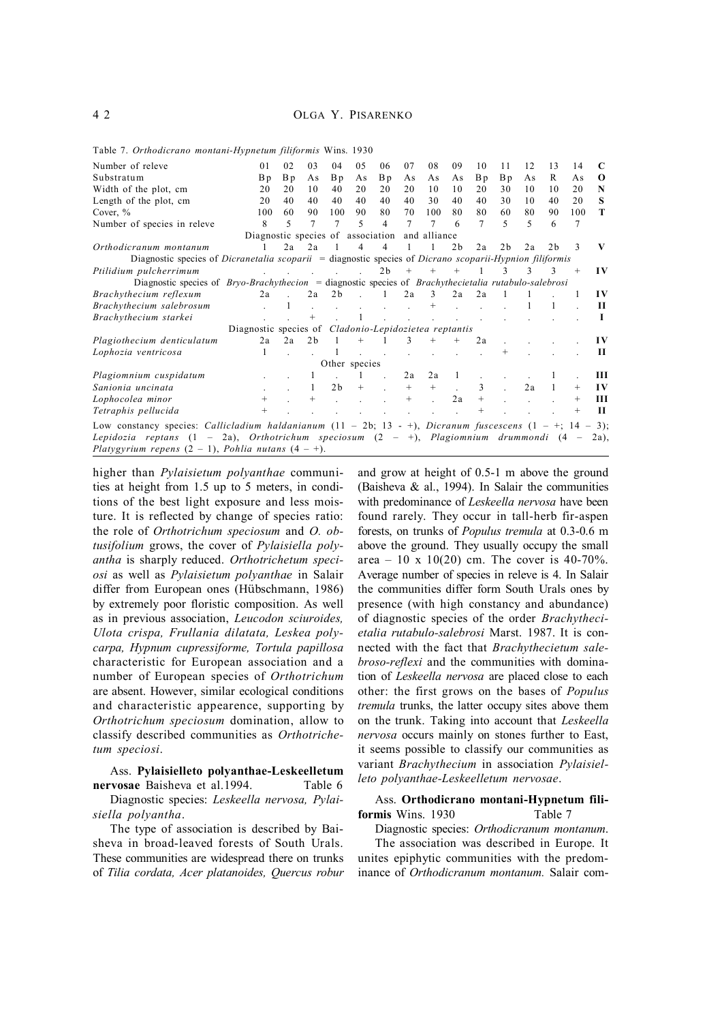| Number of releve                                                                                                                                                                                                                                                                  | 0 <sub>1</sub>                                               | 02                                                                         | 03             | 04             | 0.5           | 06             | 07     | 08           | 09             | 10     | 11             | 12 | 13             | 14     | C         |
|-----------------------------------------------------------------------------------------------------------------------------------------------------------------------------------------------------------------------------------------------------------------------------------|--------------------------------------------------------------|----------------------------------------------------------------------------|----------------|----------------|---------------|----------------|--------|--------------|----------------|--------|----------------|----|----------------|--------|-----------|
| Substratum                                                                                                                                                                                                                                                                        | B p                                                          | B p                                                                        | As             | B p            | As            | B p            | As     | As           | As             | Bp     | B p            | As | R              | As     | $\Omega$  |
| Width of the plot, cm                                                                                                                                                                                                                                                             | 20                                                           | 20                                                                         | 10             | 40             | 20            | 20             | 20     | 10           | 10             | 20     | 30             | 10 | 10             | 20     | N         |
| Length of the plot, cm                                                                                                                                                                                                                                                            | 20                                                           | 40                                                                         | 40             | 40             | 40            | 40             | 40     | 30           | 40             | 40     | 30             | 10 | 40             | 20     | s         |
| Cover, $\%$                                                                                                                                                                                                                                                                       | 100                                                          | 60                                                                         | 90             | 100            | 90            | 80             | 70     | 100          | 80             | 80     | 60             | 80 | 90             | 100    | T         |
| Number of species in releve                                                                                                                                                                                                                                                       | 8                                                            | 5                                                                          | 7              | 7              | 5             | $\overline{4}$ | 7      | 7            | 6              | 7      | 5              | 5  | 6              | 7      |           |
|                                                                                                                                                                                                                                                                                   | Diagnostic species of association                            |                                                                            |                |                |               |                |        | and alliance |                |        |                |    |                |        |           |
| Orthodicranum montanum                                                                                                                                                                                                                                                            |                                                              | 2a                                                                         | 2a             |                |               | 4              |        |              | 2 <sub>b</sub> | 2a     | 2 <sub>b</sub> | 2a | 2 <sub>b</sub> | 3      | V         |
| Diagnostic species of <i>Dicranetalia scoparii</i> = diagnostic species of <i>Dicrano scoparii-Hypnion filiformis</i>                                                                                                                                                             |                                                              |                                                                            |                |                |               |                |        |              |                |        |                |    |                |        |           |
| Ptilidium pulcherrimum                                                                                                                                                                                                                                                            |                                                              | $\mathbf{L} = \mathbf{L} \times \mathbf{L} = \mathbf{L} \times \mathbf{L}$ |                |                |               | 2 <sub>b</sub> | $^{+}$ |              |                |        |                | 3  | 3              | $^{+}$ | $\bf{IV}$ |
| Diagnostic species of $Bryo-Brachythecion = diagnostic species of Brachythecietalia rutabulo-salebrosi$                                                                                                                                                                           |                                                              |                                                                            |                |                |               |                |        |              |                |        |                |    |                |        |           |
| Brachythecium reflexum                                                                                                                                                                                                                                                            | 2a                                                           |                                                                            | 2a             | 2 <sub>b</sub> |               | 1              | 2a     | 3            | 2a             | 2a     |                |    |                |        | $\bf{IV}$ |
| Brachythecium salebrosum                                                                                                                                                                                                                                                          |                                                              |                                                                            |                |                |               |                |        |              |                |        |                |    |                |        | Н         |
| Brachythecium starkei                                                                                                                                                                                                                                                             |                                                              |                                                                            |                |                |               |                |        |              |                |        |                |    |                |        |           |
|                                                                                                                                                                                                                                                                                   | Diagnostic species of <i>Cladonio-Lepidozietea reptantis</i> |                                                                            |                |                |               |                |        |              |                |        |                |    |                |        |           |
| Plagiothecium denticulatum                                                                                                                                                                                                                                                        | 2a                                                           | 2a                                                                         | 2 <sub>b</sub> |                |               |                | 3      |              |                | 2a     |                |    |                |        | IV        |
| Lophozia ventricosa                                                                                                                                                                                                                                                               |                                                              |                                                                            |                |                |               |                |        |              |                |        |                |    |                |        | Н         |
|                                                                                                                                                                                                                                                                                   |                                                              |                                                                            |                |                | Other species |                |        |              |                |        |                |    |                |        |           |
| Plagiomnium cuspidatum                                                                                                                                                                                                                                                            |                                                              |                                                                            |                |                |               |                | 2a     | 2a           |                |        |                |    |                |        | Ш         |
| Sanionia uncinata                                                                                                                                                                                                                                                                 |                                                              |                                                                            |                | 2 <sub>b</sub> | $^{+}$        |                | $^{+}$ | $^{+}$       |                | 3      |                | 2a |                | $^{+}$ | $\bf{IV}$ |
| Lophocolea minor                                                                                                                                                                                                                                                                  | $^+$                                                         |                                                                            | $\pm$          |                |               |                | $^{+}$ |              | 2a             | $^{+}$ |                |    |                | $^{+}$ | Ш         |
| Tetraphis pellucida                                                                                                                                                                                                                                                               |                                                              |                                                                            |                |                |               |                |        |              |                |        |                |    |                |        | Н         |
| Low constancy species: <i>Callicladium haldanianum</i> $(11 - 2b; 13 - 1)$ , <i>Dicranum fuscescens</i> $(1 - 1; 14 - 3)$ ;<br>Lepidozia reptans (1 – 2a), Orthotrichum speciosum (2 – +), Plagiomnium drummondi (4 –<br>Platygyrium repens $(2 - 1)$ , Pohlia nutans $(4 - 1)$ . |                                                              |                                                                            |                |                |               |                |        |              |                |        |                |    |                |        | $2a$ ).   |

Table 7. *Orthodicrano montani-Hypnetum filiformis* Wins. 1930

higher than *Pylaisietum polyanthae* communities at height from 1.5 up to 5 meters, in conditions of the best light exposure and less moisture. It is reflected by change of species ratio: the role of *Orthotrichum speciosum* and *O. obtusifolium* grows, the cover of *Pylaisiella polyantha* is sharply reduced. *Orthotrichetum speciosi* as well as *Pylaisietum polyanthae* in Salair differ from European ones (Hübschmann, 1986) by extremely poor floristic composition. As well as in previous association, *Leucodon sciuroides, Ulota crispa, Frullania dilatata, Leskea polycarpa, Hypnum cupressiforme, Tortula papillosa* characteristic for European association and a number of European species of *Orthotrichum* are absent. However, similar ecological conditions and characteristic appearence, supporting by *Orthotrichum speciosum* domination, allow to classify described communities as *Orthotrichetum speciosi*.

## Ass. **Pylaisielleto polyanthae-Leskeelletum nervosae** Baisheva et al.1994. Table 6

Diagnostic species: *Leskeella nervosa, Pylaisiella polyantha*.

The type of association is described by Baisheva in broad-leaved forests of South Urals. These communities are widespread there on trunks of *Tilia cordata, Acer platanoides, Quercus robur*

and grow at height of 0.5-1 m above the ground (Baisheva  $\&$  al., 1994). In Salair the communities with predominance of *Leskeella nervosa* have been found rarely. They occur in tall-herb fir-aspen forests, on trunks of *Populus tremula* at 0.3-0.6 m above the ground. They usually occupy the small area – 10 x 10(20) cm. The cover is 40-70%. Average number of species in releve is 4. In Salair the communities differ form South Urals ones by presence (with high constancy and abundance) of diagnostic species of the order *Brachythecietalia rutabulo-salebrosi* Marst. 1987. It is connected with the fact that *Brachythecietum salebroso-reflexi* and the communities with domination of *Leskeella nervosa* are placed close to each other: the first grows on the bases of *Populus tremula* trunks, the latter occupy sites above them on the trunk. Taking into account that *Leskeella nervosa* occurs mainly on stones further to East, it seems possible to classify our communities as variant *Brachythecium* in association *Pylaisielleto polyanthae-Leskeelletum nervosae*.

## Ass. **Orthodicrano montani-Hypnetum filiformis** Wins. 1930 Table 7

Diagnostic species: *Orthodicranum montanum*. The association was described in Europe. It unites epiphytic communities with the predominance of *Orthodicranum montanum.* Salair com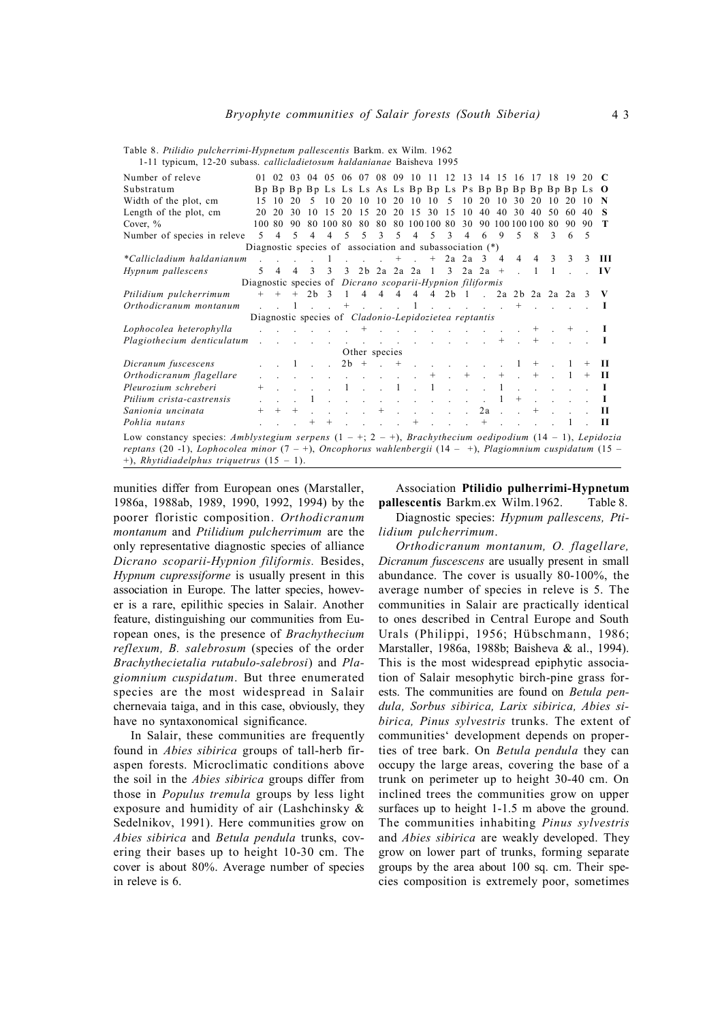Number of releve 01 02 03 04 05 06 07 08 09 10 11 12 13 14 15 16 17 18 19 20 **C** Substratum B p B p B p B p Ls Ls Ls As Ls B p B p Ls P s B p B p B p B p B p Ls **O** Width of the plot, cm 15 10 20 5 10 20 10 10 20 10 10 5 10 20 10 30 20 10 20 10 **N** Length of the plot, cm 20 20 30 10 15 20 15 20 20 15 30 15 10 40 40 30 40 50 60 40 **S** Cover, % 100 80 90 80 100 80 80 80 80 100 100 80 30 90 100 100 100 80 90 90 **T** Number of species in releve 5 4 5 4 4 5 5 3 5 4 5 3 4 6 9 5 8 3 6 5 Diagnostic species of association and subassociation (\*) *\*Callicladium haldanianum* . . . . 1 . . . + . + 2a 2a 3 4 4 4 3 3 3 **III** *Hypnum pallescens* 5 4 4 3 3 3 2b 2a 2a 2a 1 3 2a 2a + . 1 1 . . **I V** Diagnostic species of *Dicrano scoparii-Hypnion filiformis Ptilidium pulcherrimum* + + + 2b 3 1 4 4 4 4 4 2b 1 . 2a 2b 2a 2a 2a 3 **V** *Orthodicranum montanum* . . 1 . . + . . . 1 . . . . . + . . . . **I** Diagnostic species of *Cladonio-Lepidozietea reptantis Lophocolea heterophylla* . . . . . . + . . . . . . . . . + . + . **I** *Plagiothecium denticulatum* . . . . . . . . . . . . . . + . + . . . **I** Other species<br> $2b + ... +$ *Dicranum fuscescens* . . 1 . . 2b + . + . . . . . . 1 + . 1 + **II** *Orthodicranum flagellare* . . . . . . . . . . + . + . + . + . 1 + **II** *Pleurozium schreberi* + . . . . 1 . . 1 . 1 . . . 1 . . . . . **I** *Ptilium crista-castrensis* . . . 1 . . . . . . . . . . 1 + . . . . **I** *Sanionia uncinata*  $+ + + + \cdot \cdot \cdot + \cdot \cdot \cdot 2a + \cdot \cdot + \cdot \cdot \cdot \cdot 1I$ *Pohlia nutans* . . . + + . . . . + . . . + . . . . 1 . **II** Low constancy species: *Amblystegium serpens* (1 – +; 2 – +), *Brachythecium oedipodium* (14 – 1), *Lepidozia reptans* (20 -1), *Lophocolea minor* (7 – +), *Oncophorus wahlenbergii* (14 – +), *Plagiomnium cuspidatum* (15 – +), *Rhytidiadelphus triquetrus* (15 – 1).

Table 8. *Ptilidio pulcherrimi-Hypnetum pallescentis* Barkm. ex Wilm. 1962 1-11 typicum, 12-20 subass. *callicladietosum haldanianae* Baisheva 1995

munities differ from European ones (Marstaller, 1986a, 1988ab, 1989, 1990, 1992, 1994) by the poorer floristic composition. *Orthodicranum montanum* and *Ptilidium pulcherrimum* are the only representative diagnostic species of alliance *Dicrano scoparii-Hypnion filiformis.* Besides, *Hypnum cupressiforme* is usually present in this association in Europe. The latter species, however is a rare, epilithic species in Salair. Another feature, distinguishing our communities from European ones, is the presence of *Brachythecium reflexum, B. salebrosum* (species of the order *Brachythecietalia rutabulo-salebrosi*) and *Plagiomnium cuspidatum*. But three enumerated species are the most widespread in Salair chernevaia taiga, and in this case, obviously, they have no syntaxonomical significance.

In Salair, these communities are frequently found in *Abies sibirica* groups of tall-herb firaspen forests. Microclimatic conditions above the soil in the *Abies sibirica* groups differ from those in *Populus tremula* groups by less light exposure and humidity of air (Lashchinsky & Sedelnikov, 1991). Here communities grow on *Abies sibirica* and *Betula pendula* trunks, covering their bases up to height 10-30 cm. The cover is about 80%. Average number of species in releve is 6.

Association **Ptilidio pulherrimi-Hypnetum pallescentis** Barkm.ex Wilm.1962. Table 8.

Diagnostic species: *Hypnum pallescens, Ptilidium pulcherrimum*.

*Orthodicranum montanum, O. flagellare, Dicranum fuscescens* are usually present in small abundance. The cover is usually 80-100%, the average number of species in releve is 5. The communities in Salair are practically identical to ones described in Central Europe and South Urals (Philippi, 1956; Hübschmann, 1986; Marstaller, 1986a, 1988b; Baisheva & al., 1994). This is the most widespread epiphytic association of Salair mesophytic birch-pine grass forests. The communities are found on *Betula pendula, Sorbus sibirica, Larix sibirica, Abies sibirica, Pinus sylvestris* trunks. The extent of communities' development depends on properties of tree bark. On *Betula pendula* they can occupy the large areas, covering the base of a trunk on perimeter up to height 30-40 cm. On inclined trees the communities grow on upper surfaces up to height 1-1.5 m above the ground. The communities inhabiting *Pinus sylvestris* and *Abies sibirica* are weakly developed. They grow on lower part of trunks, forming separate groups by the area about 100 sq. cm. Their species composition is extremely poor, sometimes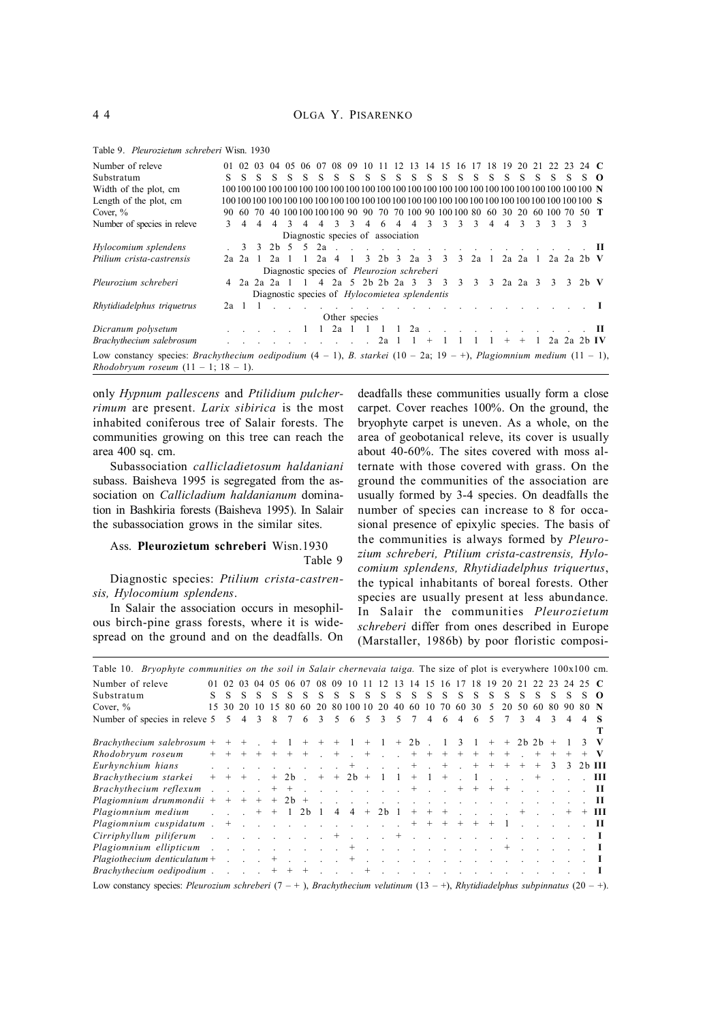| Number of releve                                                                                                                                                                                   | 01              |           |                |    | 02 03 04 05 06 07                                                                 |                |                |              | 08 09 10 11    |              |         |    |                | 12 13 14 15 16 17 18 19 20 21 22 23 24 C  |                |               |                |                   |     |               |                          |    |              |      |
|----------------------------------------------------------------------------------------------------------------------------------------------------------------------------------------------------|-----------------|-----------|----------------|----|-----------------------------------------------------------------------------------|----------------|----------------|--------------|----------------|--------------|---------|----|----------------|-------------------------------------------|----------------|---------------|----------------|-------------------|-----|---------------|--------------------------|----|--------------|------|
| Substratum                                                                                                                                                                                         | S.              |           | S S            | -S | S.                                                                                | $S_{-}$        | S.             | - S          | S.             |              | $S-S-S$ | S. |                | SSSS.                                     |                |               |                | S S S             |     | - S           | S.                       | S. | $S_{\Omega}$ |      |
| Width of the plot, cm                                                                                                                                                                              |                 |           |                |    |                                                                                   |                |                |              |                |              |         |    |                |                                           |                |               |                |                   |     |               |                          |    |              |      |
| Length of the plot, cm                                                                                                                                                                             |                 |           |                |    |                                                                                   |                |                |              |                |              |         |    |                |                                           |                |               |                |                   |     |               |                          |    |              |      |
| Cover, $\%$                                                                                                                                                                                        |                 |           |                |    | 90 60 70 40 100 100 100 100 90 90 70 70 100 90 100 100 80 60 30 20 60 100 70 50 T |                |                |              |                |              |         |    |                |                                           |                |               |                |                   |     |               |                          |    |              |      |
| Number of species in releve                                                                                                                                                                        | $\mathcal{R}$   | 4         | $\overline{4}$ |    | 4 3                                                                               | $\overline{4}$ | $\overline{4}$ |              | 3 <sup>3</sup> |              | 4 6 4 4 |    | $\overline{3}$ | $\mathcal{R}$                             | 3 <sup>3</sup> |               | $\overline{4}$ | $4 \overline{3}$  |     | $\mathcal{R}$ | 3 3 3                    |    |              |      |
|                                                                                                                                                                                                    |                 |           |                |    | Diagnostic species of association                                                 |                |                |              |                |              |         |    |                |                                           |                |               |                |                   |     |               |                          |    |              |      |
| Hylocomium splendens                                                                                                                                                                               |                 |           | 3 <sup>3</sup> |    | 2b 5 5 2a                                                                         |                |                |              |                |              |         |    |                |                                           |                |               |                |                   |     |               |                          |    |              | . н  |
| Ptilium crista-castrensis                                                                                                                                                                          |                 | $2a$ $2a$ |                |    | $2a \quad 1$                                                                      | $\mathbf{1}$   |                | $2a \quad 4$ |                |              |         |    |                | 1 3 2b 3 2a 3 3 3 2a 1 2a 2a 1 2a 2a 2b V |                |               |                |                   |     |               |                          |    |              |      |
|                                                                                                                                                                                                    |                 |           |                |    | Diagnostic species of Pleurozion schreberi                                        |                |                |              |                |              |         |    |                |                                           |                |               |                |                   |     |               |                          |    |              |      |
| Pleurozium schreberi                                                                                                                                                                               |                 |           |                |    | 4 2a 2a 2a 1 1 4 2a 5 2b 2b 2a 3 3 3 3                                            |                |                |              |                |              |         |    |                |                                           |                | $\mathcal{R}$ |                | $3 \t2a \t2a \t3$ |     |               | $\mathcal{R}$            |    | 3 2b V       |      |
|                                                                                                                                                                                                    |                 |           |                |    | Diagnostic species of <i>Hylocomietea splendentis</i>                             |                |                |              |                |              |         |    |                |                                           |                |               |                |                   |     |               |                          |    |              |      |
| Rhytidiadelphus triquetrus                                                                                                                                                                         | 2a <sub>1</sub> |           |                |    |                                                                                   |                |                |              |                |              |         |    |                |                                           |                |               |                |                   |     |               |                          |    |              |      |
|                                                                                                                                                                                                    |                 |           |                |    |                                                                                   |                |                |              | Other species  |              |         |    |                |                                           |                |               |                |                   |     |               |                          |    |              |      |
| Dicranum polysetum                                                                                                                                                                                 |                 |           |                |    |                                                                                   |                |                | 2a           |                |              |         |    |                | $2a$                                      |                |               |                |                   |     |               |                          |    |              | - 11 |
| Brachythecium salebrosum                                                                                                                                                                           |                 |           |                |    |                                                                                   |                |                |              |                | $2a \quad 1$ |         |    |                |                                           |                |               |                | $+$               | $+$ |               | $2a$ $2a$ $2b$ $\bf{IV}$ |    |              |      |
| Low constancy species: <i>Brachythecium oedipodium</i> $(4 - 1)$ , <i>B. starkei</i> $(10 - 2a; 19 - 1)$ , <i>Plagiomnium medium</i> $(11 - 1)$ ,<br><i>Rhodobryum roseum</i> $(11 - 1; 18 - 1)$ . |                 |           |                |    |                                                                                   |                |                |              |                |              |         |    |                |                                           |                |               |                |                   |     |               |                          |    |              |      |

Table 9. *Pleurozietum schreberi* Wisn. 1930

only *Hypnum pallescens* and *Ptilidium pulcherrimum* are present. *Larix sibirica* is the most inhabited coniferous tree of Salair forests. The communities growing on this tree can reach the area 400 sq. cm.

Subassociation *callicladietosum haldaniani* subass. Baisheva 1995 is segregated from the association on *Callicladium haldanianum* domination in Bashkiria forests (Baisheva 1995). In Salair the subassociation grows in the similar sites.

## Ass. **Pleurozietum schreberi** Wisn.1930 Table 9

Diagnostic species: *Ptilium crista-castrensis, Hylocomium splendens*.

In Salair the association occurs in mesophilous birch-pine grass forests, where it is widespread on the ground and on the deadfalls. On deadfalls these communities usually form a close carpet. Cover reaches 100%. On the ground, the bryophyte carpet is uneven. As a whole, on the area of geobotanical releve, its cover is usually about 40-60%. The sites covered with moss alternate with those covered with grass. On the ground the communities of the association are usually formed by 3-4 species. On deadfalls the number of species can increase to 8 for occasional presence of epixylic species. The basis of the communities is always formed by *Pleurozium schreberi, Ptilium crista-castrensis, Hylocomium splendens, Rhytidiadelphus triquertus*, the typical inhabitants of boreal forests. Other species are usually present at less abundance. In Salair the communities *Pleurozietum schreberi* differ from ones described in Europe (Marstaller, 1986b) by poor floristic composi-

| Table 10. Bryophyte communities on the soil in Salair chernevaia taiga. The size of plot is everywhere 100x100 cm.                    |        |                             |    |                 |    |         |    |         |              |                                                                                                                                                                                                                                |     |                         |    |        |                |                           |     |             |              |     |               |                              |               |                |      |                |
|---------------------------------------------------------------------------------------------------------------------------------------|--------|-----------------------------|----|-----------------|----|---------|----|---------|--------------|--------------------------------------------------------------------------------------------------------------------------------------------------------------------------------------------------------------------------------|-----|-------------------------|----|--------|----------------|---------------------------|-----|-------------|--------------|-----|---------------|------------------------------|---------------|----------------|------|----------------|
| Number of releve                                                                                                                      |        |                             |    |                 |    |         |    |         |              | 01 02 03 04 05 06 07 08 09 10 11 12 13 14 15 16 17 18 19 20 21 22 23 24 25 C                                                                                                                                                   |     |                         |    |        |                |                           |     |             |              |     |               |                              |               |                |      |                |
| Substratum                                                                                                                            | S.     | S.                          | S  | -S              | S  | S.      | -S | S       | <sup>S</sup> | S.                                                                                                                                                                                                                             | S   | <sup>S</sup>            | S  | S.     | <sup>S</sup>   | <sup>S</sup>              | S   | S           | <sup>S</sup> | S   | S             | S                            | <sup>S</sup>  | S              |      | $\Omega$       |
| Cover, $\%$                                                                                                                           | 15     | 30                          | 20 | 10              | 15 | 80      | 60 | 20      |              | 80 100 10                                                                                                                                                                                                                      |     | 20                      | 40 | -60    | 10             | 70                        | 60  | 30          | 5            | 20  | 50            | -60                          | -80           | 90.            | 80 N |                |
| Number of species in releve 5                                                                                                         |        | 5                           | 4  | $\mathcal{F}$   | 8  | 7       | 6  | 3       | 5            | -6                                                                                                                                                                                                                             | - 5 | $\overline{\mathbf{3}}$ | 5  | $\tau$ | 4              | 6                         | 4   | 6           | .5           | 7   | $\mathcal{F}$ | $\overline{4}$               | $\mathcal{E}$ | $\overline{4}$ | 4    | - 8            |
|                                                                                                                                       |        |                             |    |                 |    |         |    |         |              |                                                                                                                                                                                                                                |     |                         |    |        |                |                           |     |             |              |     |               |                              |               |                |      | Т              |
| Brachythecium salebrosum                                                                                                              | $^{+}$ |                             |    |                 |    | $+$ 1   |    | $+$ $+$ |              | $+$ 1                                                                                                                                                                                                                          |     |                         |    |        |                | $+ 1 + 2b$ $1 3 1$        |     |             |              |     |               | $+ + 2b 2b + 1$              |               |                |      | $3 \mathbf{V}$ |
| Rhodobryum roseum                                                                                                                     |        |                             |    | $+ + + + + + +$ |    |         |    |         |              | $+$ $+$ $+$ $+$                                                                                                                                                                                                                |     |                         |    |        | $+$ $+$        | $+$                       | $+$ | $+$         | $+$          | $+$ |               | $+$ $+$                      |               | $+$            |      |                |
| Eurhynchium hians                                                                                                                     |        |                             |    |                 |    |         |    |         |              | いっしょういっしょう オフランチン ナー                                                                                                                                                                                                           |     |                         |    |        |                |                           |     | $+$         | $+$          | $+$ | $+$           | $+$ 3                        |               |                |      | $32b$ III      |
| Brachythecium starkei                                                                                                                 |        | $+ + +$                     |    |                 |    |         |    |         |              | $+ 2b + + 2b +$                                                                                                                                                                                                                |     | $1\quad1$               |    | $^{+}$ | $\overline{1}$ | $^{+}$                    |     | - 1         |              |     |               | $\cdots$ + $\cdots$          |               |                |      | — Ш            |
| Brachythecium reflexum.                                                                                                               |        | $\sim$ $\sim$ $\sim$ $\sim$ |    |                 |    | $+$ $+$ |    |         |              | and the company of the company of the company of the company of the company of the company of the company of the company of the company of the company of the company of the company of the company of the company of the comp |     |                         |    |        |                |                           |     | $+ + + + +$ |              |     |               | $\ldots$ II                  |               |                |      |                |
| Plagiomnium drummondii + + + +                                                                                                        |        |                             |    |                 |    |         |    |         |              | $+ 2b + $                                                                                                                                                                                                                      |     |                         |    |        |                |                           |     |             |              |     |               |                              |               |                |      | . н            |
| Plagiomnium medium                                                                                                                    |        |                             |    |                 |    |         |    |         |              | $\cdot$ $+$ + 1 2b 1 4 4 + 2b 1                                                                                                                                                                                                |     |                         |    |        |                | $+ + +$ $+$ $    +$ $  -$ |     |             |              |     |               |                              |               |                |      | $+$ + III      |
| Plagiomnium cuspidatum.                                                                                                               |        |                             |    |                 |    |         |    |         |              | $+$ + + + +                                                                                                                                                                                                                    |     |                         |    |        |                |                           |     |             |              |     |               | $+$ + 1 $\ldots$ $\ldots$ II |               |                |      |                |
| Cirriphyllum piliferum                                                                                                                |        |                             |    |                 |    |         |    |         |              |                                                                                                                                                                                                                                |     |                         |    |        |                |                           |     |             |              |     |               |                              |               |                |      |                |
| Plagiomnium ellipticum $\cdots$ $\cdots$ $\cdots$ $\cdots$ $\cdots$ $\cdots$ $\cdots$ $\cdots$ $\cdots$ $\cdots$ $\cdots$             |        |                             |    |                 |    |         |    |         |              |                                                                                                                                                                                                                                |     |                         |    |        |                |                           |     |             |              |     |               |                              |               |                |      |                |
|                                                                                                                                       |        |                             |    |                 |    |         |    |         |              |                                                                                                                                                                                                                                |     |                         |    |        |                |                           |     |             |              |     |               |                              |               |                |      |                |
| Brachythecium oedipodium                                                                                                              |        |                             |    |                 |    |         |    |         |              |                                                                                                                                                                                                                                |     |                         |    |        |                |                           |     |             |              |     |               |                              |               |                |      |                |
| Low constancy species: Pleurozium schreberi $(7 - +)$ , Brachythecium velutinum $(13 - +)$ , Rhytidiadelphus subpinnatus $(20 - +)$ . |        |                             |    |                 |    |         |    |         |              |                                                                                                                                                                                                                                |     |                         |    |        |                |                           |     |             |              |     |               |                              |               |                |      |                |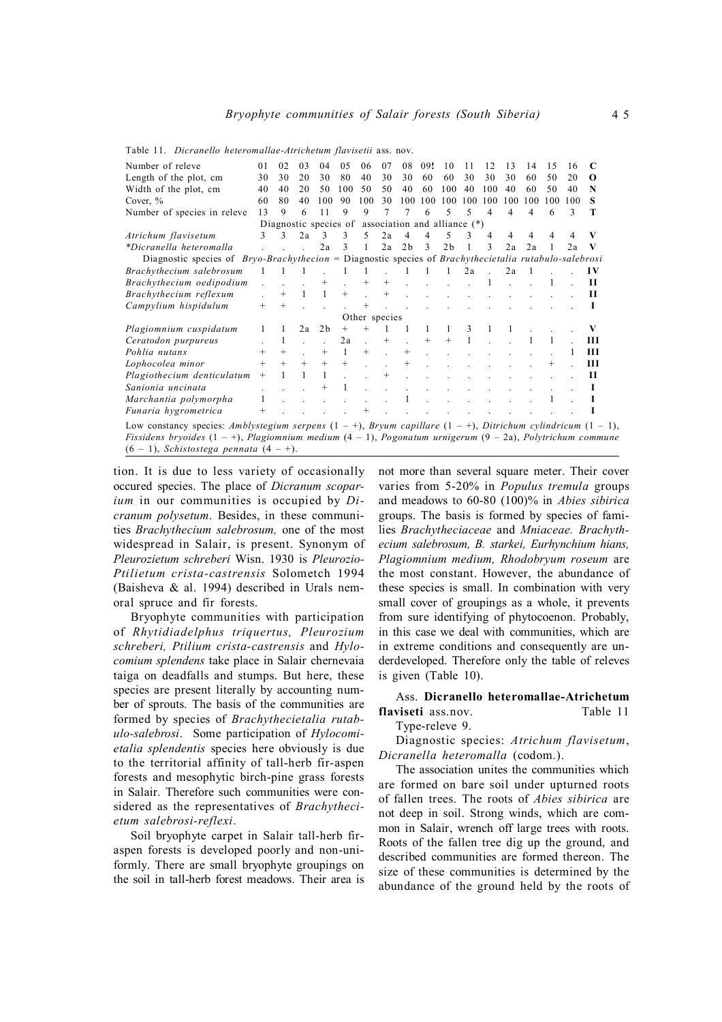| Number of releve                                                                                                                                                                                                                                                                            | 0 <sub>1</sub> | 0 <sub>2</sub> | 03     | 04                                                   | 05     | 06            | 07     | 08             | 09!          | 10             | 11  | 12  | 13  | 14  | 15  | 16  |          |
|---------------------------------------------------------------------------------------------------------------------------------------------------------------------------------------------------------------------------------------------------------------------------------------------|----------------|----------------|--------|------------------------------------------------------|--------|---------------|--------|----------------|--------------|----------------|-----|-----|-----|-----|-----|-----|----------|
| Length of the plot, cm                                                                                                                                                                                                                                                                      | 30             | 30             | 20     | 30                                                   | 80     | 40            | 30     | 30             | 60           | 60             | 30  | 30  | 30  | 60  | 50  | 20  | $\Omega$ |
| Width of the plot, cm                                                                                                                                                                                                                                                                       | 40             | 40             | 20     | 50                                                   | 100    | 50            | 50     | 40             | 60           | 100            | 40  | 100 | 40  | 60  | 50  | 40  | N        |
| Cover, $\%$                                                                                                                                                                                                                                                                                 | 60             | 80             | 40     | 100                                                  | 90     | 100           | 30     | 100            | 100          | 100            | 100 | 100 | 100 | 100 | 100 | 100 | s        |
| Number of species in releve                                                                                                                                                                                                                                                                 | 13             | 9              | 6      | 11                                                   | 9      | 9             | 7      | 7              | 6            | 5              | 5   | 4   | 4   | 4   | 6   |     | т        |
|                                                                                                                                                                                                                                                                                             |                |                |        | Diagnostic species of association and alliance $(*)$ |        |               |        |                |              |                |     |     |     |     |     |     |          |
| Atrichum flavisetum                                                                                                                                                                                                                                                                         | $\mathcal{E}$  | 3              | 2a     | 3                                                    | 3      | .5            | 2a     | $\overline{4}$ | 4            | 5              | 3   | 4   | 4   | 4   | 4   |     | v        |
| *Dicranella heteromalla                                                                                                                                                                                                                                                                     |                |                |        | 2a                                                   | 3      |               | 2a     | 2 <sub>b</sub> | 3            | 2 <sub>b</sub> |     | 3   | 2a  | 2a  |     | 2a  | V        |
| Diagnostic species of $Bryo-Brachythecion = Diagnostic species of Brachythecietalia rutabulo-salebrosi$                                                                                                                                                                                     |                |                |        |                                                      |        |               |        |                |              |                |     |     |     |     |     |     |          |
| Brachythecium salebrosum                                                                                                                                                                                                                                                                    |                |                |        |                                                      | 1      | 1             |        |                | $\mathbf{1}$ | $\mathbf{1}$   | 2a  |     | 2a  | -1  |     |     | IV       |
| Brachythecium oedipodium                                                                                                                                                                                                                                                                    |                |                |        | $^{+}$                                               |        | $^{+}$        | $^{+}$ |                |              |                |     |     |     |     |     |     | Н        |
| Brachythecium reflexum                                                                                                                                                                                                                                                                      |                | $^{+}$         | 1      | 1                                                    | $^{+}$ |               | $^{+}$ |                |              |                |     |     |     |     |     |     | П        |
| Campylium hispidulum                                                                                                                                                                                                                                                                        | $^{+}$         | $^{+}$         |        |                                                      |        | $^{+}$        |        |                |              |                |     |     |     |     |     |     | L.       |
|                                                                                                                                                                                                                                                                                             |                |                |        |                                                      |        | Other species |        |                |              |                |     |     |     |     |     |     |          |
| Plagiomnium cuspidatum                                                                                                                                                                                                                                                                      |                | 1              | 2a     | 2 <sub>b</sub>                                       | $^{+}$ |               |        |                |              |                | 3   | 1   | 1   |     |     |     | V        |
| Ceratodon purpureus                                                                                                                                                                                                                                                                         |                | 1              |        |                                                      | 2a     |               | $^{+}$ |                | $+$          | $+$            |     |     |     |     |     |     | Ш        |
| Pohlia nutans                                                                                                                                                                                                                                                                               | $^{+}$         | $^{+}$         |        | $^{+}$                                               | 1      | $^{+}$        |        | $^{+}$         |              |                |     |     |     |     |     |     | Ш        |
| Lophocolea minor                                                                                                                                                                                                                                                                            | $^{+}$         | $+$            | $^{+}$ | $^{+}$                                               | $^{+}$ |               |        |                |              |                |     |     |     |     |     |     | Ш        |
| Plagiothecium denticulatum                                                                                                                                                                                                                                                                  | $^{+}$         | 1              | 1      | 1                                                    |        |               | $^{+}$ |                |              |                |     |     |     |     |     |     | Н        |
| Sanionia uncinata                                                                                                                                                                                                                                                                           |                |                |        | $^{+}$                                               |        |               |        |                |              |                |     |     |     |     |     |     |          |
| Marchantia polymorpha                                                                                                                                                                                                                                                                       |                |                |        |                                                      |        |               |        |                |              |                |     |     |     |     |     |     | н        |
| Funaria hygrometrica                                                                                                                                                                                                                                                                        |                |                |        |                                                      |        |               |        |                |              |                |     |     |     |     |     |     |          |
| Low constancy species: Amblystegium serpens $(1 - 1)$ , Bryum capillare $(1 - 1)$ , Ditrichum cylindricum $(1 - 1)$ ,<br>Fissidens bryoides $(1 - +)$ , Plagiomnium medium $(4 - 1)$ , Pogonatum urnigerum $(9 - 2a)$ , Polytrichum commune<br>$(6 - 1)$ , Schistostega pennata $(4 - 1)$ . |                |                |        |                                                      |        |               |        |                |              |                |     |     |     |     |     |     |          |

Table 11. *Dicranello heteromallae-Atrichetum flavisetii* ass. nov.

tion. It is due to less variety of occasionally occured species. The place of *Dicranum scoparium* in our communities is occupied by *Dicranum polysetum*. Besides, in these communities *Brachythecium salebrosum,* one of the most widespread in Salair, is present. Synonym of *Pleurozietum schreberi* Wisn. 1930 is *Pleurozio-Ptilietum crista-castrensis* Solometch 1994 (Baisheva & al. 1994) described in Urals nemoral spruce and fir forests.

Bryophyte communities with participation of *Rhytidiadelphus triquertus, Pleurozium schreberi, Ptilium crista-castrensis* and *Hylocomium splendens* take place in Salair chernevaia taiga on deadfalls and stumps. But here, these species are present literally by accounting number of sprouts. The basis of the communities are formed by species of *Brachythecietalia rutabulo-salebrosi*. Some participation of *Hylocomietalia splendentis* species here obviously is due to the territorial affinity of tall-herb fir-aspen forests and mesophytic birch-pine grass forests in Salair. Therefore such communities were considered as the representatives of *Brachythecietum salebrosi-reflexi*.

Soil bryophyte carpet in Salair tall-herb firaspen forests is developed poorly and non-uniformly. There are small bryophyte groupings on the soil in tall-herb forest meadows. Their area is not more than several square meter. Their cover varies from 5-20% in *Populus tremula* groups and meadows to 60-80 (100)% in *Abies sibirica* groups. The basis is formed by species of families *Brachytheciaceae* and *Mniaceae. Brachythecium salebrosum, B. starkei, Eurhynchium hians, Plagiomnium medium, Rhodobryum roseum* are the most constant. However, the abundance of these species is small. In combination with very small cover of groupings as a whole, it prevents from sure identifying of phytocoenon. Probably, in this case we deal with communities, which are in extreme conditions and consequently are underdeveloped. Therefore only the table of releves is given (Table 10).

## Ass. **Dicranello heteromallae-Atrichetum flaviseti** ass.nov. Table 11

#### Type-releve 9.

Diagnostic species: *Atrichum flavisetum*, *Dicranella heteromalla* (codom.).

The association unites the communities which are formed on bare soil under upturned roots of fallen trees. The roots of *Abies sibirica* are not deep in soil. Strong winds, which are common in Salair, wrench off large trees with roots. Roots of the fallen tree dig up the ground, and described communities are formed thereon. The size of these communities is determined by the abundance of the ground held by the roots of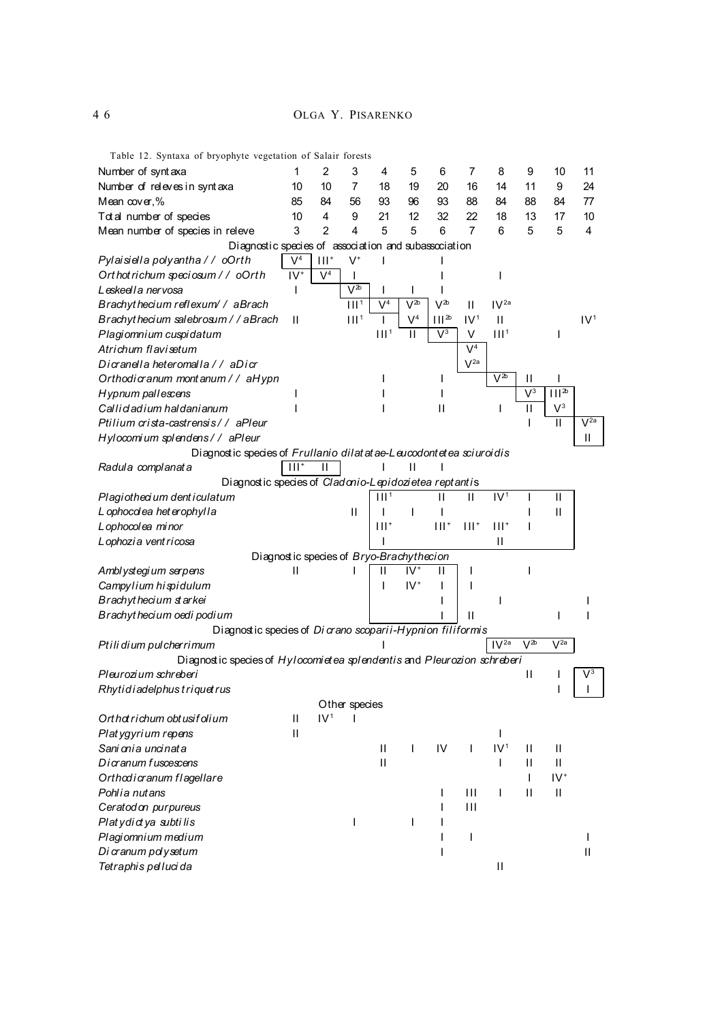4 6 OLGA Y. PISARENKO

Table 12. Syntaxa of bryophyte vegetation of Salair forests Number of syntaxa 1 2 3 4 5 6 7 8 9 10 11 Number of releves in synt axa 10 10 7 18 19 20 16 14 11 9 24 Mean cover,% 85 84 56 93 96 93 88 84 88 84 77 Total number of species 10 4 9 21 12 32 22 18 13 17 10 Mean number of species in releve 3 2 4 5 5 6 7 6 5 5 4 Diagnostic species of association and subassociation *Pylaisiella polyantha / / oOrth* V  $\overline{V^4}$  $III<sup>+</sup>$  $V^+$ I is a set of the set of the set of the set of the set of the set of the set of the set of the set of the set o *Ort hot richum speciosum / / oOrth* IV  $\overline{V^4}$ I I I *Leskeella nervosa* I V 2<sup>b</sup> | | | | *Brachyt hecium reflexum/ / aBrach* III<sup>1</sup> V<sup>4</sup>  $V^{2b}$  $V^{2b}$  $II$   $IV^{2a}$ *Brachyt hecium salebrosum / / aBrach* II 11<sup>1</sup>  $\mathsf{I}$  |  $\mathsf{V}^4$  $III^{2b}$   $IV^1$  $IV<sup>1</sup>$ *Plagiomnium cuspidatum* in the state of  $111<sup>1</sup>$  $II \mid V^3$  $V = III<sup>1</sup>$ I *Atrichum flavisetum*  $\overline{V^4}$ *Dicranella heteromalla / / aDicr* V  $V^{2a}$ *Orthodicranum mont anum / / aHypn* I I I I I  $\overline{V^{2b}}$  II I *Hypnum pallescens* I I I I  $\overline{V^3}$  $\overline{|||^{2}}$ *Callicladium haldanianum* I I II I II V  $V<sup>3</sup>$ *Ptilium crista-castrensis / / aPleur* I II V  $\overline{V^{2a}}$ *Hylocomium splendens / / aPleur* II Diagnostic species of *Frullanio dilat at ae-Leucodontetea sciuroidis Radula complanat a*  $\vert$  III<sup>+</sup>  $\begin{array}{c|c|c|c|c} \hline \cdots & \cdots & \cdots & \cdots \end{array}$ Diagnostic species of *Cladonio-Lepidozietea reptanti*s *Plagiothecium dent iculatum* is a set of  $\sqrt{111^4}$  $II$   $II$   $IV<sup>1</sup>$ I II *L* ophocolea het erophylla **II** I I I I I I I II I II **Lophocolea minor** III + III + III + III + III + III + III + III + III + III + III + III + III + III + III + III + III + III + III + III + III + III + III + III + III + III + III + III + III + III + III + III + III + III +  $III<sup>+</sup>$  $111^+$  $III<sup>+</sup>$ I *Lophozia vent ricosa* I II Diagnost ic species of *Bryo-Brachythecion Amblystegium serpens* II II IV  $\mathsf{II} \parallel \mathsf{I}$  is a set of  $\mathsf{II}$ **Campylium hispidulum I** I IV<sup>+</sup>  $1 \quad 1 \quad 1$ *Brachyt hecium st arkei* I I I *Brachyt hecium oedi podium* I II I I Diagnost ic species of *Di crano scoparii-Hypnion filiformis* Ptili dium pulcherrimum and the second pulcher of the second pulcher of the second pulcher of the second pulcher 2b V 2a Diagnost ic species of *Hylocomietea splendentis* and *Pleurozion schreberi Pleurozium schreberi* II von de Brazilianus et al. II von de Brazilianus et al. II von de III von de III von de 3  $R$ *hytidiadelphus triquet rus* Other species *Orthot richum obtusif olium* II IV<sup>1</sup> I *Plat ygyrium repens* II I *Sani onia uncinata* II I IV I IV<sup>1</sup>  $II$  II *Dicranum f uscescens* II I II II *Orthodicranum flagellare* I IV<sup>+</sup> *Pohlia nutans* I III I II II *Ceratodon purpureus* I III *Plat ydict ya subti lis* is a positive power of the set of the list of the list of the list of the list of the list of the list of the list of the list of the list of the list of the list of the list of the list of the li *Plagiomnium medium* I I I *Di cranum polysetum* I II *Tetraphis pelluci da* III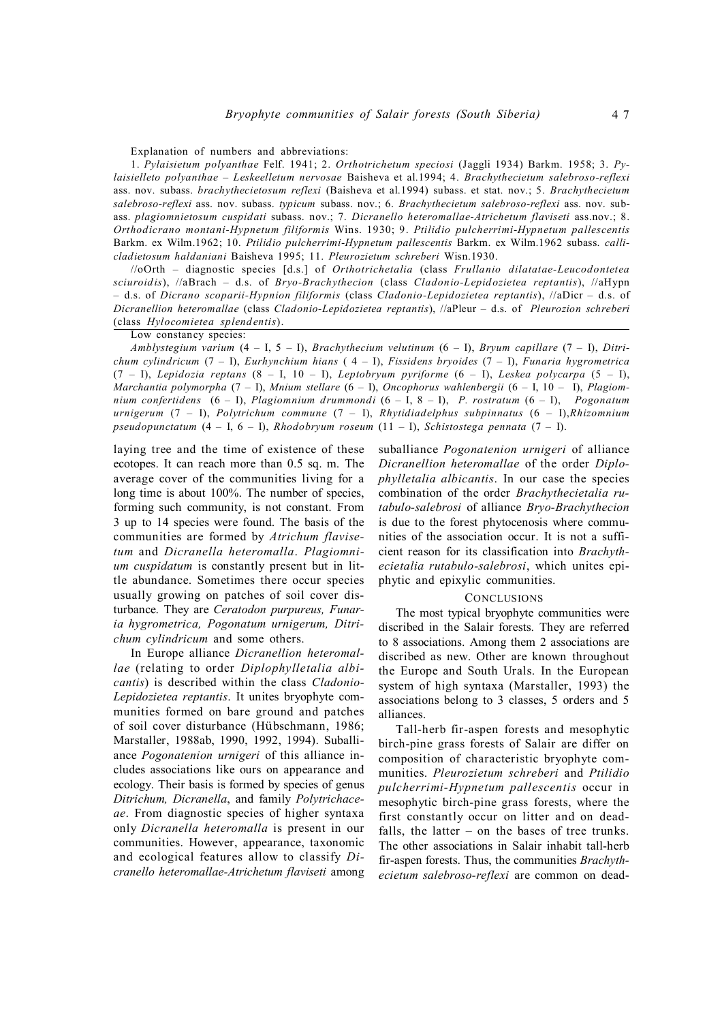Explanation of numbers and abbreviations:

1. *Pylaisietum polyanthae* Felf. 1941; 2. *Orthotrichetum speciosi* (Jaggli 1934) Barkm. 1958; 3. *Pylaisielleto polyanthae – Leskeelletum nervosae* Baisheva et al.1994; 4. *Brachythecietum salebroso-reflexi* ass. nov. subass. *brachythecietosum reflexi* (Baisheva et al.1994) subass. et stat. nov.; 5. *Brachythecietum salebroso-reflexi* ass. nov. subass. *typicum* subass. nov.; 6. *Brachythecietum salebroso-reflexi* ass. nov. subass. *plagiomnietosum cuspidati* subass. nov.; 7. *Dicranello heteromallae-Atrichetum flaviseti* ass.nov.; 8. *Orthodicrano montani-Hypnetum filiformis* Wins. 1930; 9. *Ptilidio pulcherrimi*-*Hypnetum pallescentis* Barkm. ex Wilm.1962; 10. *Ptilidio pulcherrimi*-*Hypnetum pallescentis* Barkm. ex Wilm.1962 subass. *callicladietosum haldaniani* Baisheva 1995; 11. *Pleurozietum schreberi* Wisn.1930.

//oOrth – diagnostic species [d.s.] of *Orthotrichetalia* (class *Frullanio dilatatae-Leucodontetea sciuroidis*), //aBrach – d.s. of *Bryo-Brachythecion* (class *Cladonio-Lepidozietea reptantis*), //aHypn – d.s. of *Dicrano scoparii-Hypnion filiformis* (class *Cladonio-Lepidozietea reptantis*), //aDicr – d.s. of *Dicranellion heteromallae* (class *Cladonio-Lepidozietea reptantis*), //aPleur – d.s. of *Pleurozion schreberi* (class *Hylocomietea splendentis*).

Low constancy species:

*Amblystegium varium* (4 – I, 5 – I), *Brachythecium velutinum* (6 – I), *Bryum capillare* (7 – I), *Ditrichum cylindricum* (7 – I), *Eurhynchium hians* ( 4 – I), *Fissidens bryoides* (7 – I), *Funaria hygrometrica* (7 – I), *Lepidozia reptans* (8 – I, 10 – I), *Leptobryum pyriforme* (6 – I), *Leskea polycarpa* (5 – I), *Marchantia polymorpha* (7 – I), *Mnium stellare* (6 – I), *Oncophorus wahlenbergii* (6 – I, 10 – I), *Plagiomnium confertidens* (6 – I), *Plagiomnium drummondi* (6 – I, 8 – I), *P. rostratum* (6 – I), *Pogonatum urnigerum* (7 – I), *Polytrichum commune* (7 – I), *Rhytidiadelphus subpinnatus* (6 – I),*Rhizomnium pseudopunctatum* (4 – I, 6 – I), *Rhodobryum roseum* (11 – I), *Schistostega pennata* (7 – I).

laying tree and the time of existence of these ecotopes. It can reach more than 0.5 sq. m. The average cover of the communities living for a long time is about 100%. The number of species, forming such community, is not constant. From 3 up to 14 species were found. The basis of the communities are formed by *Atrichum flavisetum* and *Dicranella heteromalla*. *Plagiomnium cuspidatum* is constantly present but in little abundance. Sometimes there occur species usually growing on patches of soil cover disturbance. They are *Ceratodon purpureus, Funaria hygrometrica, Pogonatum urnigerum, Ditrichum cylindricum* and some others.

In Europe alliance *Dicranellion heteromallae* (relating to order *Diplophylletalia albicantis*) is described within the class *Cladonio-Lepidozietea reptantis*. It unites bryophyte communities formed on bare ground and patches of soil cover disturbance (Hübschmann, 1986; Marstaller, 1988ab, 1990, 1992, 1994). Suballiance *Pogonatenion urnigeri* of this alliance includes associations like ours on appearance and ecology. Their basis is formed by species of genus *Ditrichum, Dicranella*, and family *Polytrichaceae*. From diagnostic species of higher syntaxa only *Dicranella heteromalla* is present in our communities. However, appearance, taxonomic and ecological features allow to classify *Dicranello heteromallae-Atrichetum flaviseti* among suballiance *Pogonatenion urnigeri* of alliance *Dicranellion heteromallae* of the order *Diplophylletalia albicantis*. In our case the species combination of the order *Brachythecietalia rutabulo-salebrosi* of alliance *Bryo-Brachythecion* is due to the forest phytocenosis where communities of the association occur. It is not a sufficient reason for its classification into *Brachythecietalia rutabulo-salebrosi*, which unites epiphytic and epixylic communities.

#### **CONCLUSIONS**

The most typical bryophyte communities were discribed in the Salair forests. They are referred to 8 associations. Among them 2 associations are discribed as new. Other are known throughout the Europe and South Urals. In the European system of high syntaxa (Marstaller, 1993) the associations belong to 3 classes, 5 orders and 5 alliances.

Tall-herb fir-aspen forests and mesophytic birch-pine grass forests of Salair are differ on composition of characteristic bryophyte communities. *Pleurozietum schreberi* and *Ptilidio pulcherrimi-Hypnetum pallescentis* occur in mesophytic birch-pine grass forests, where the first constantly occur on litter and on deadfalls, the latter  $-$  on the bases of tree trunks. The other associations in Salair inhabit tall-herb fir-aspen forests. Thus, the communities *Brachythecietum salebroso-reflexi* are common on dead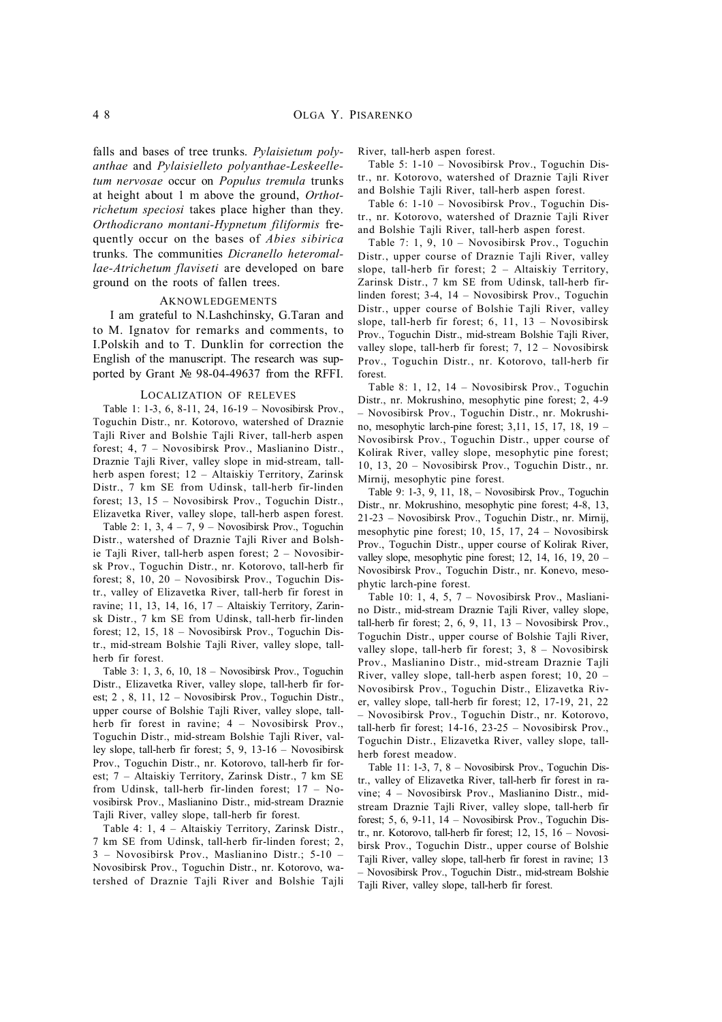falls and bases of tree trunks. *Pylaisietum polyanthae* and *Pylaisielleto polyanthae-Leskeelletum nervosae* occur on *Populus tremula* trunks at height about 1 m above the ground, *Orthotrichetum speciosi* takes place higher than they. *Orthodicrano montani-Hypnetum filiformis* frequently occur on the bases of *Abies sibirica* trunks. The communities *Dicranello heteromallae-Atrichetum flaviseti* are developed on bare ground on the roots of fallen trees.

#### AKNOWLEDGEMENTS

I am grateful to N.Lashchinsky, G.Taran and to M. Ignatov for remarks and comments, to I.Polskih and to T. Dunklin for correction the English of the manuscript. The research was supported by Grant № 98-04-49637 from the RFFI.

#### LOCALIZATION OF RELEVES

Table 1: 1-3, 6, 8-11, 24, 16-19 – Novosibirsk Prov., Toguchin Distr., nr. Kotorovo, watershed of Draznie Tajli River and Bolshie Tajli River, tall-herb aspen forest; 4, 7 – Novosibirsk Prov., Maslianino Distr., Draznie Tajli River, valley slope in mid-stream, tallherb aspen forest; 12 – Altaiskiy Territory, Zarinsk Distr., 7 km SE from Udinsk, tall-herb fir-linden forest; 13, 15 – Novosibirsk Prov., Toguchin Distr., Elizavetka River, valley slope, tall-herb aspen forest.

Table 2: 1, 3,  $4 - 7$ ,  $9 -$  Novosibirsk Prov., Toguchin Distr., watershed of Draznie Tajli River and Bolshie Tajli River, tall-herb aspen forest; 2 – Novosibirsk Prov., Toguchin Distr., nr. Kotorovo, tall-herb fir forest; 8, 10, 20 – Novosibirsk Prov., Toguchin Distr., valley of Elizavetka River, tall-herb fir forest in ravine; 11, 13, 14, 16, 17 – Altaiskiy Territory, Zarinsk Distr., 7 km SE from Udinsk, tall-herb fir-linden forest; 12, 15, 18 – Novosibirsk Prov., Toguchin Distr., mid-stream Bolshie Tajli River, valley slope, tallherb fir forest.

Table 3: 1, 3, 6, 10,  $18$  – Novosibirsk Prov., Toguchin Distr., Elizavetka River, valley slope, tall-herb fir forest; 2 , 8, 11, 12 – Novosibirsk Prov., Toguchin Distr., upper course of Bolshie Tajli River, valley slope, tallherb fir forest in ravine; 4 – Novosibirsk Prov., Toguchin Distr., mid-stream Bolshie Tajli River, valley slope, tall-herb fir forest; 5, 9, 13-16 – Novosibirsk Prov., Toguchin Distr., nr. Kotorovo, tall-herb fir forest; 7 – Altaiskiy Territory, Zarinsk Distr., 7 km SE from Udinsk, tall-herb fir-linden forest; 17 – Novosibirsk Prov., Maslianino Distr., mid-stream Draznie Tajli River, valley slope, tall-herb fir forest.

Table 4: 1, 4 – Altaiskiy Territory, Zarinsk Distr., 7 km SE from Udinsk, tall-herb fir-linden forest; 2, 3 – Novosibirsk Prov., Maslianino Distr.; 5-10 – Novosibirsk Prov., Toguchin Distr., nr. Kotorovo, watershed of Draznie Tajli River and Bolshie Tajli River, tall-herb aspen forest.

Table 5: 1-10 – Novosibirsk Prov., Toguchin Distr., nr. Kotorovo, watershed of Draznie Tajli River and Bolshie Tajli River, tall-herb aspen forest.

Table 6: 1-10 – Novosibirsk Prov., Toguchin Distr., nr. Kotorovo, watershed of Draznie Tajli River and Bolshie Tajli River, tall-herb aspen forest.

Table 7: 1, 9, 10 – Novosibirsk Prov., Toguchin Distr., upper course of Draznie Tajli River, valley slope, tall-herb fir forest; 2 – Altaiskiy Territory, Zarinsk Distr., 7 km SE from Udinsk, tall-herb firlinden forest; 3-4, 14 – Novosibirsk Prov., Toguchin Distr., upper course of Bolshie Tajli River, valley slope, tall-herb fir forest; 6, 11, 13 – Novosibirsk Prov., Toguchin Distr., mid-stream Bolshie Tajli River, valley slope, tall-herb fir forest; 7, 12 – Novosibirsk Prov., Toguchin Distr., nr. Kotorovo, tall-herb fir forest.

Table 8: 1, 12, 14 – Novosibirsk Prov., Toguchin Distr., nr. Mokrushino, mesophytic pine forest; 2, 4-9 – Novosibirsk Prov., Toguchin Distr., nr. Mokrushino, mesophytic larch-pine forest; 3,11, 15, 17, 18, 19 – Novosibirsk Prov., Toguchin Distr., upper course of Kolirak River, valley slope, mesophytic pine forest; 10, 13, 20 – Novosibirsk Prov., Toguchin Distr., nr. Mirnij, mesophytic pine forest.

Table 9: 1-3, 9, 11, 18, – Novosibirsk Prov., Toguchin Distr., nr. Mokrushino, mesophytic pine forest; 4-8, 13, 21-23 – Novosibirsk Prov., Toguchin Distr., nr. Mirnij, mesophytic pine forest; 10, 15, 17, 24 – Novosibirsk Prov., Toguchin Distr., upper course of Kolirak River, valley slope, mesophytic pine forest; 12, 14, 16, 19, 20 – Novosibirsk Prov., Toguchin Distr., nr. Konevo, mesophytic larch-pine forest.

Table 10: 1, 4, 5, 7 – Novosibirsk Prov., Maslianino Distr., mid-stream Draznie Tajli River, valley slope, tall-herb fir forest; 2, 6, 9, 11,  $13 -$  Novosibirsk Prov., Toguchin Distr., upper course of Bolshie Tajli River, valley slope, tall-herb fir forest; 3, 8 – Novosibirsk Prov., Maslianino Distr., mid-stream Draznie Tajli River, valley slope, tall-herb aspen forest; 10, 20 – Novosibirsk Prov., Toguchin Distr., Elizavetka River, valley slope, tall-herb fir forest; 12, 17-19, 21, 22 – Novosibirsk Prov., Toguchin Distr., nr. Kotorovo, tall-herb fir forest; 14-16, 23-25 – Novosibirsk Prov., Toguchin Distr., Elizavetka River, valley slope, tallherb forest meadow.

Table 11: 1-3, 7, 8 – Novosibirsk Prov., Toguchin Distr., valley of Elizavetka River, tall-herb fir forest in ravine; 4 – Novosibirsk Prov., Maslianino Distr., midstream Draznie Tajli River, valley slope, tall-herb fir forest; 5, 6, 9-11, 14 – Novosibirsk Prov., Toguchin Distr., nr. Kotorovo, tall-herb fir forest; 12, 15, 16 – Novosibirsk Prov., Toguchin Distr., upper course of Bolshie Tajli River, valley slope, tall-herb fir forest in ravine; 13 – Novosibirsk Prov., Toguchin Distr., mid-stream Bolshie Tajli River, valley slope, tall-herb fir forest.